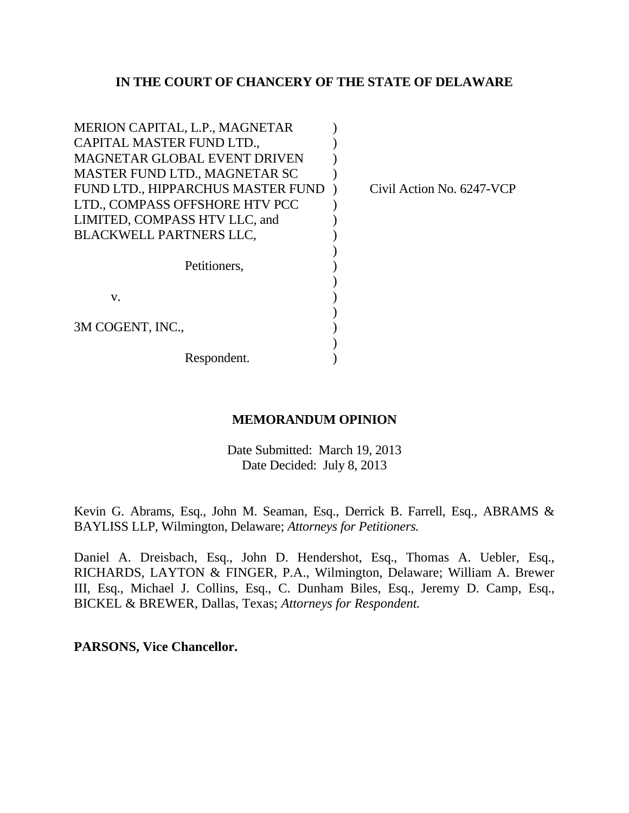## **IN THE COURT OF CHANCERY OF THE STATE OF DELAWARE**

| MERION CAPITAL, L.P., MAGNETAR       |  |
|--------------------------------------|--|
| CAPITAL MASTER FUND LTD.,            |  |
| <b>MAGNETAR GLOBAL EVENT DRIVEN</b>  |  |
| <b>MASTER FUND LTD., MAGNETAR SC</b> |  |
| FUND LTD., HIPPARCHUS MASTER FUND    |  |
| LTD., COMPASS OFFSHORE HTV PCC       |  |
| LIMITED, COMPASS HTV LLC, and        |  |
| <b>BLACKWELL PARTNERS LLC,</b>       |  |
|                                      |  |
| Petitioners,                         |  |
|                                      |  |
| V.                                   |  |
|                                      |  |
| 3M COGENT, INC.,                     |  |
|                                      |  |
| Respondent.                          |  |

Civil Action No. 6247-VCP

## **MEMORANDUM OPINION**

Date Submitted: March 19, 2013 Date Decided: July 8, 2013

Kevin G. Abrams, Esq., John M. Seaman, Esq., Derrick B. Farrell, Esq., ABRAMS & BAYLISS LLP, Wilmington, Delaware; *Attorneys for Petitioners.*

Daniel A. Dreisbach, Esq., John D. Hendershot, Esq., Thomas A. Uebler, Esq., RICHARDS, LAYTON & FINGER, P.A., Wilmington, Delaware; William A. Brewer III, Esq., Michael J. Collins, Esq., C. Dunham Biles, Esq., Jeremy D. Camp, Esq., BICKEL & BREWER, Dallas, Texas; *Attorneys for Respondent.*

**PARSONS, Vice Chancellor.**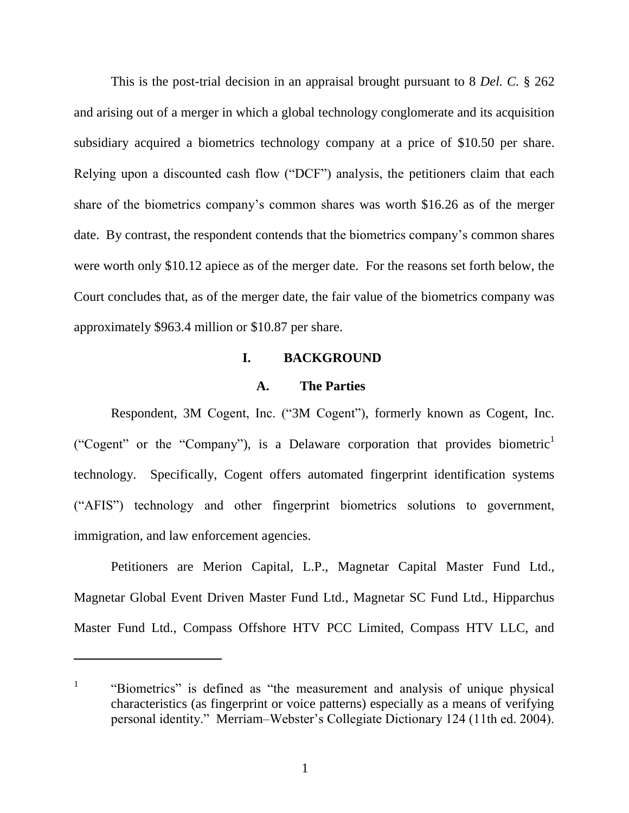This is the post-trial decision in an appraisal brought pursuant to 8 *Del. C.* § 262 and arising out of a merger in which a global technology conglomerate and its acquisition subsidiary acquired a biometrics technology company at a price of \$10.50 per share. Relying upon a discounted cash flow ("DCF") analysis, the petitioners claim that each share of the biometrics company's common shares was worth \$16.26 as of the merger date. By contrast, the respondent contends that the biometrics company's common shares were worth only \$10.12 apiece as of the merger date. For the reasons set forth below, the Court concludes that, as of the merger date, the fair value of the biometrics company was approximately \$963.4 million or \$10.87 per share.

## **I. BACKGROUND**

## **A. The Parties**

Respondent, 3M Cogent, Inc. ("3M Cogent"), formerly known as Cogent, Inc. ("Cogent" or the "Company"), is a Delaware corporation that provides biometric<sup>1</sup> technology. Specifically, Cogent offers automated fingerprint identification systems (―AFIS‖) technology and other fingerprint biometrics solutions to government, immigration, and law enforcement agencies.

Petitioners are Merion Capital, L.P., Magnetar Capital Master Fund Ltd., Magnetar Global Event Driven Master Fund Ltd., Magnetar SC Fund Ltd., Hipparchus Master Fund Ltd., Compass Offshore HTV PCC Limited, Compass HTV LLC, and

<sup>1</sup> "Biometrics" is defined as "the measurement and analysis of unique physical characteristics (as fingerprint or voice patterns) especially as a means of verifying personal identity." Merriam–Webster's Collegiate Dictionary 124 (11th ed. 2004).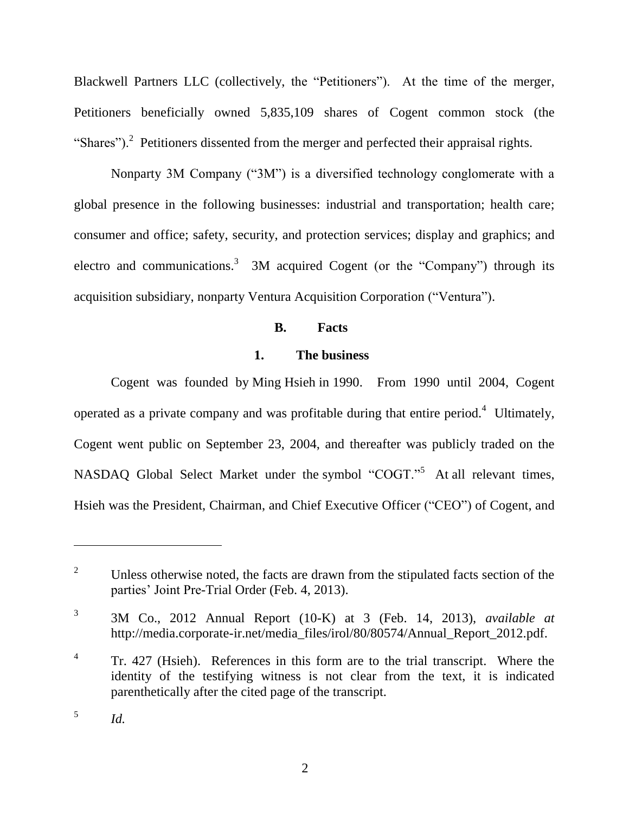Blackwell Partners LLC (collectively, the "Petitioners"). At the time of the merger, Petitioners beneficially owned 5,835,109 shares of Cogent common stock (the "Shares").<sup>2</sup> Petitioners dissented from the merger and perfected their appraisal rights.

Nonparty 3M Company ("3M") is a diversified technology conglomerate with a global presence in the following businesses: industrial and transportation; health care; consumer and office; safety, security, and protection services; display and graphics; and electro and communications.<sup>3</sup> 3M acquired Cogent (or the "Company") through its acquisition subsidiary, nonparty Ventura Acquisition Corporation ("Ventura").

## **B. Facts**

### **1. The business**

Cogent was founded by Ming Hsieh in 1990. From 1990 until 2004, Cogent operated as a private company and was profitable during that entire period.<sup>4</sup> Ultimately, Cogent went public on September 23, 2004, and thereafter was publicly traded on the NASDAQ Global Select Market under the symbol "COGT."<sup>5</sup> At all relevant times, Hsieh was the President, Chairman, and Chief Executive Officer ("CEO") of Cogent, and

<sup>&</sup>lt;sup>2</sup> Unless otherwise noted, the facts are drawn from the stipulated facts section of the parties' Joint Pre-Trial Order (Feb. 4, 2013).

<sup>3</sup> 3M Co., 2012 Annual Report (10-K) at 3 (Feb. 14, 2013), *available at* http://media.corporate-ir.net/media\_files/irol/80/80574/Annual\_Report\_2012.pdf.

<sup>4</sup> Tr. 427 (Hsieh). References in this form are to the trial transcript. Where the identity of the testifying witness is not clear from the text, it is indicated parenthetically after the cited page of the transcript.

<sup>5</sup> *Id.*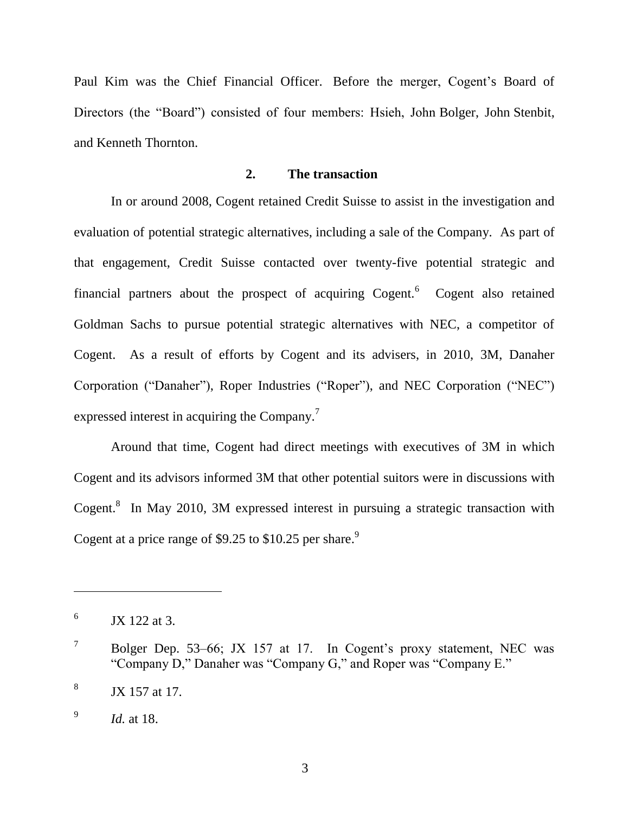Paul Kim was the Chief Financial Officer. Before the merger, Cogent's Board of Directors (the "Board") consisted of four members: Hsieh, John Bolger, John Stenbit, and Kenneth Thornton.

### **2. The transaction**

In or around 2008, Cogent retained Credit Suisse to assist in the investigation and evaluation of potential strategic alternatives, including a sale of the Company. As part of that engagement, Credit Suisse contacted over twenty-five potential strategic and financial partners about the prospect of acquiring  $Cogent<sup>6</sup>$  Cogent also retained Goldman Sachs to pursue potential strategic alternatives with NEC, a competitor of Cogent. As a result of efforts by Cogent and its advisers, in 2010, 3M, Danaher Corporation ("Danaher"), Roper Industries ("Roper"), and NEC Corporation ("NEC") expressed interest in acquiring the Company.<sup>7</sup>

Around that time, Cogent had direct meetings with executives of 3M in which Cogent and its advisors informed 3M that other potential suitors were in discussions with Cogent.<sup>8</sup> In May 2010, 3M expressed interest in pursuing a strategic transaction with Cogent at a price range of \$9.25 to \$10.25 per share.<sup>9</sup>

<sup>6</sup> JX 122 at 3.

 $7$  Bolger Dep. 53–66; JX 157 at 17. In Cogent's proxy statement, NEC was "Company D," Danaher was "Company G," and Roper was "Company E."

<sup>8</sup> JX 157 at 17.

<sup>9</sup> *Id.* at 18.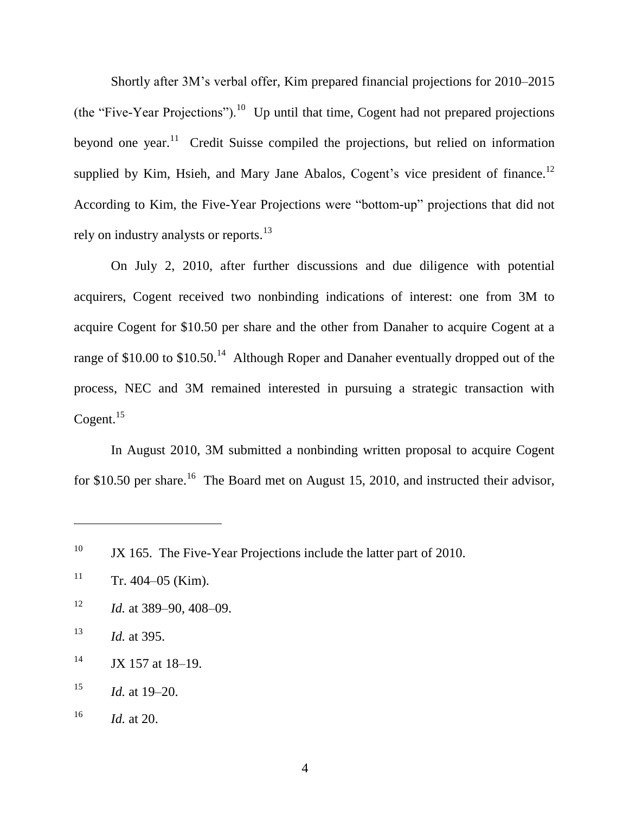Shortly after 3M's verbal offer, Kim prepared financial projections for 2010–2015 (the "Five-Year Projections").<sup>10</sup> Up until that time, Cogent had not prepared projections beyond one year.<sup>11</sup> Credit Suisse compiled the projections, but relied on information supplied by Kim, Hsieh, and Mary Jane Abalos, Cogent's vice president of finance.<sup>12</sup> According to Kim, the Five-Year Projections were "bottom-up" projections that did not rely on industry analysts or reports.<sup>13</sup>

On July 2, 2010, after further discussions and due diligence with potential acquirers, Cogent received two nonbinding indications of interest: one from 3M to acquire Cogent for \$10.50 per share and the other from Danaher to acquire Cogent at a range of \$10.00 to \$10.50.<sup>14</sup> Although Roper and Danaher eventually dropped out of the process, NEC and 3M remained interested in pursuing a strategic transaction with Cogent. $15$ 

In August 2010, 3M submitted a nonbinding written proposal to acquire Cogent for \$10.50 per share.<sup>16</sup> The Board met on August 15, 2010, and instructed their advisor,

<sup>12</sup> *Id.* at 389–90, 408–09.

<sup>&</sup>lt;sup>10</sup> JX 165. The Five-Year Projections include the latter part of 2010.

 $11$  Tr. 404–05 (Kim).

<sup>13</sup> *Id.* at 395.

 $14$  JX 157 at 18-19.

<sup>15</sup> *Id.* at 19–20.

<sup>16</sup> *Id.* at 20.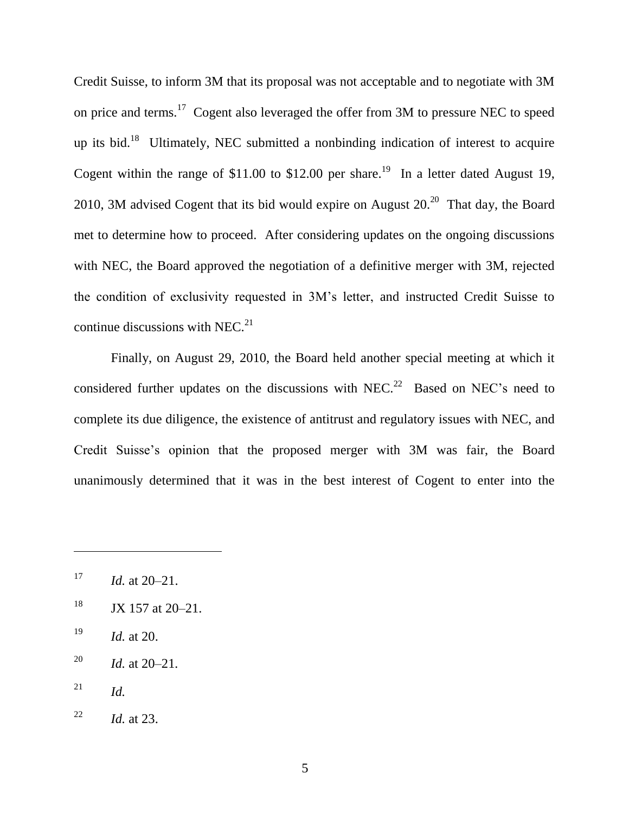Credit Suisse, to inform 3M that its proposal was not acceptable and to negotiate with 3M on price and terms.<sup>17</sup> Cogent also leveraged the offer from 3M to pressure NEC to speed up its bid.<sup>18</sup> Ultimately, NEC submitted a nonbinding indication of interest to acquire Cogent within the range of \$11.00 to \$12.00 per share.<sup>19</sup> In a letter dated August 19, 2010, 3M advised Cogent that its bid would expire on August  $20^{20}$  That day, the Board met to determine how to proceed. After considering updates on the ongoing discussions with NEC, the Board approved the negotiation of a definitive merger with 3M, rejected the condition of exclusivity requested in 3M's letter, and instructed Credit Suisse to continue discussions with NEC. $^{21}$ 

Finally, on August 29, 2010, the Board held another special meeting at which it considered further updates on the discussions with NEC.<sup>22</sup> Based on NEC's need to complete its due diligence, the existence of antitrust and regulatory issues with NEC, and Credit Suisse's opinion that the proposed merger with 3M was fair, the Board unanimously determined that it was in the best interest of Cogent to enter into the

- $18$  JX 157 at 20–21.
- <sup>19</sup> *Id.* at 20.
- <sup>20</sup> *Id.* at 20–21*.*
- $^{21}$  *Id.*

<sup>22</sup> *Id.* at 23.

<sup>&</sup>lt;sup>17</sup> *Id.* at 20–21.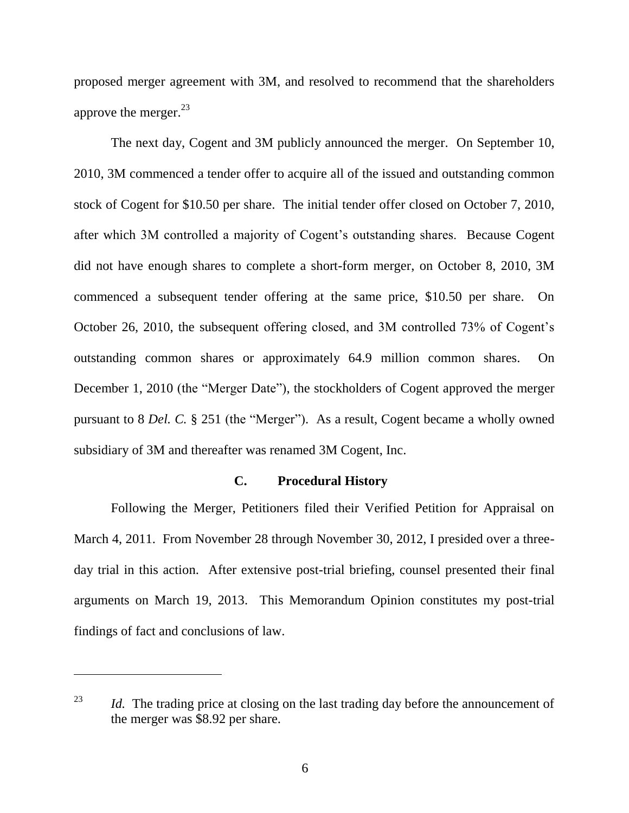proposed merger agreement with 3M, and resolved to recommend that the shareholders approve the merger. $^{23}$ 

The next day, Cogent and 3M publicly announced the merger. On September 10, 2010, 3M commenced a tender offer to acquire all of the issued and outstanding common stock of Cogent for \$10.50 per share. The initial tender offer closed on October 7, 2010, after which 3M controlled a majority of Cogent's outstanding shares. Because Cogent did not have enough shares to complete a short-form merger, on October 8, 2010, 3M commenced a subsequent tender offering at the same price, \$10.50 per share. On October 26, 2010, the subsequent offering closed, and 3M controlled 73% of Cogent's outstanding common shares or approximately 64.9 million common shares. On December 1, 2010 (the "Merger Date"), the stockholders of Cogent approved the merger pursuant to 8 *Del. C.* § 251 (the "Merger"). As a result, Cogent became a wholly owned subsidiary of 3M and thereafter was renamed 3M Cogent, Inc.

## **C. Procedural History**

Following the Merger, Petitioners filed their Verified Petition for Appraisal on March 4, 2011. From November 28 through November 30, 2012, I presided over a threeday trial in this action. After extensive post-trial briefing, counsel presented their final arguments on March 19, 2013. This Memorandum Opinion constitutes my post-trial findings of fact and conclusions of law.

<sup>&</sup>lt;sup>23</sup> *Id.* The trading price at closing on the last trading day before the announcement of the merger was \$8.92 per share.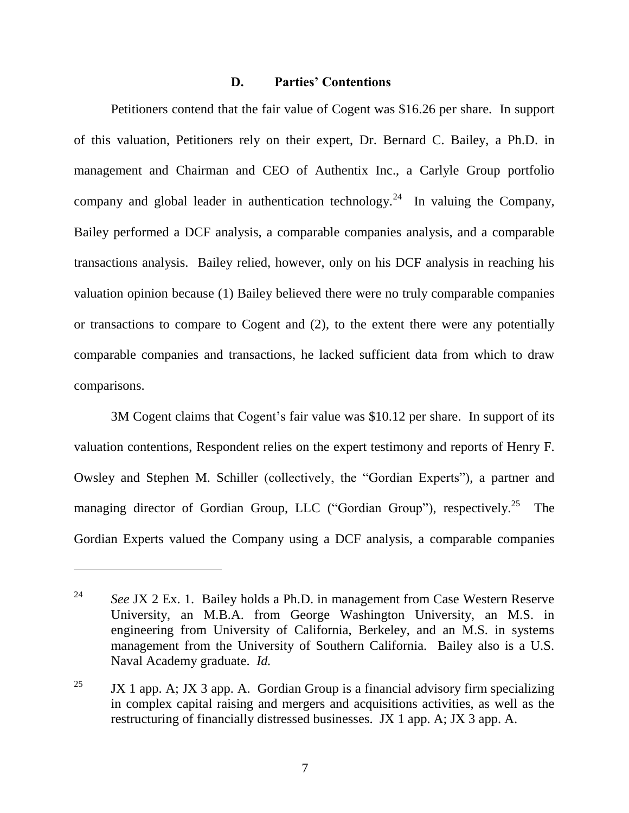#### **D. Parties' Contentions**

Petitioners contend that the fair value of Cogent was \$16.26 per share. In support of this valuation, Petitioners rely on their expert, Dr. Bernard C. Bailey, a Ph.D. in management and Chairman and CEO of Authentix Inc., a Carlyle Group portfolio company and global leader in authentication technology.<sup>24</sup> In valuing the Company, Bailey performed a DCF analysis, a comparable companies analysis, and a comparable transactions analysis. Bailey relied, however, only on his DCF analysis in reaching his valuation opinion because (1) Bailey believed there were no truly comparable companies or transactions to compare to Cogent and (2), to the extent there were any potentially comparable companies and transactions, he lacked sufficient data from which to draw comparisons.

3M Cogent claims that Cogent's fair value was \$10.12 per share. In support of its valuation contentions, Respondent relies on the expert testimony and reports of Henry F. Owsley and Stephen M. Schiller (collectively, the "Gordian Experts"), a partner and managing director of Gordian Group, LLC ("Gordian Group"), respectively.<sup>25</sup> The Gordian Experts valued the Company using a DCF analysis, a comparable companies

<sup>24</sup> *See* JX 2 Ex. 1. Bailey holds a Ph.D. in management from Case Western Reserve University, an M.B.A. from George Washington University, an M.S. in engineering from University of California, Berkeley, and an M.S. in systems management from the University of Southern California. Bailey also is a U.S. Naval Academy graduate. *Id.*

<sup>&</sup>lt;sup>25</sup> JX 1 app. A; JX 3 app. A. Gordian Group is a financial advisory firm specializing in complex capital raising and mergers and acquisitions activities, as well as the restructuring of financially distressed businesses. JX 1 app. A; JX 3 app. A.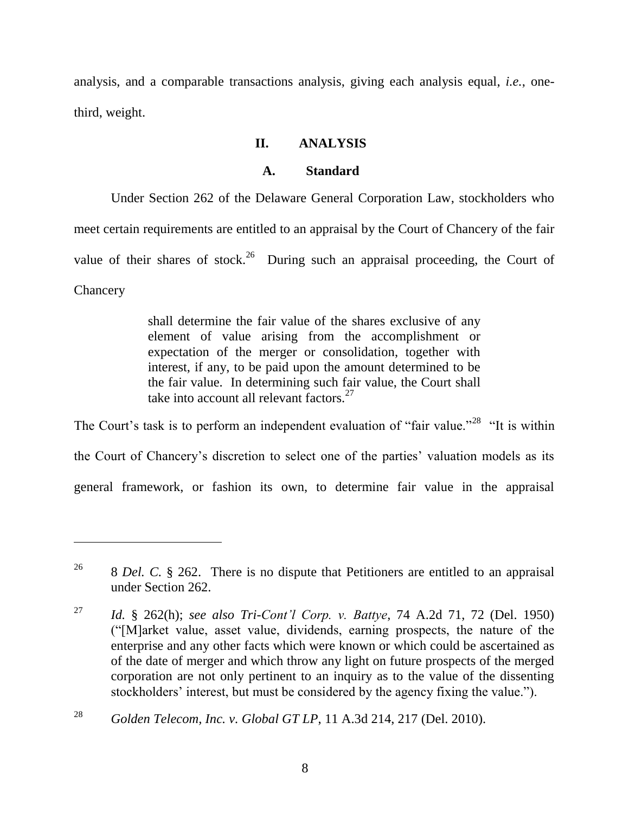analysis, and a comparable transactions analysis, giving each analysis equal, *i.e.*, onethird, weight.

## **II. ANALYSIS**

## **A. Standard**

Under Section 262 of the Delaware General Corporation Law, stockholders who meet certain requirements are entitled to an appraisal by the Court of Chancery of the fair value of their shares of stock.<sup>26</sup> During such an appraisal proceeding, the Court of **Chancery** 

> shall determine the fair value of the shares exclusive of any element of value arising from the accomplishment or expectation of the merger or consolidation, together with interest, if any, to be paid upon the amount determined to be the fair value. In determining such fair value, the Court shall take into account all relevant factors.<sup>27</sup>

The Court's task is to perform an independent evaluation of "fair value."<sup>28</sup> "It is within the Court of Chancery's discretion to select one of the parties' valuation models as its general framework, or fashion its own, to determine fair value in the appraisal

<sup>26</sup> 8 *Del. C.* § 262. There is no dispute that Petitioners are entitled to an appraisal under Section 262.

<sup>27</sup> *Id.* § 262(h); *see also Tri-Cont'l Corp. v. Battye*, 74 A.2d 71, 72 (Del. 1950) (―[M]arket value, asset value, dividends, earning prospects, the nature of the enterprise and any other facts which were known or which could be ascertained as of the date of merger and which throw any light on future prospects of the merged corporation are not only pertinent to an inquiry as to the value of the dissenting stockholders' interest, but must be considered by the agency fixing the value.").

<sup>28</sup> *Golden Telecom, Inc. v. Global GT LP*, 11 A.3d 214, 217 (Del. 2010).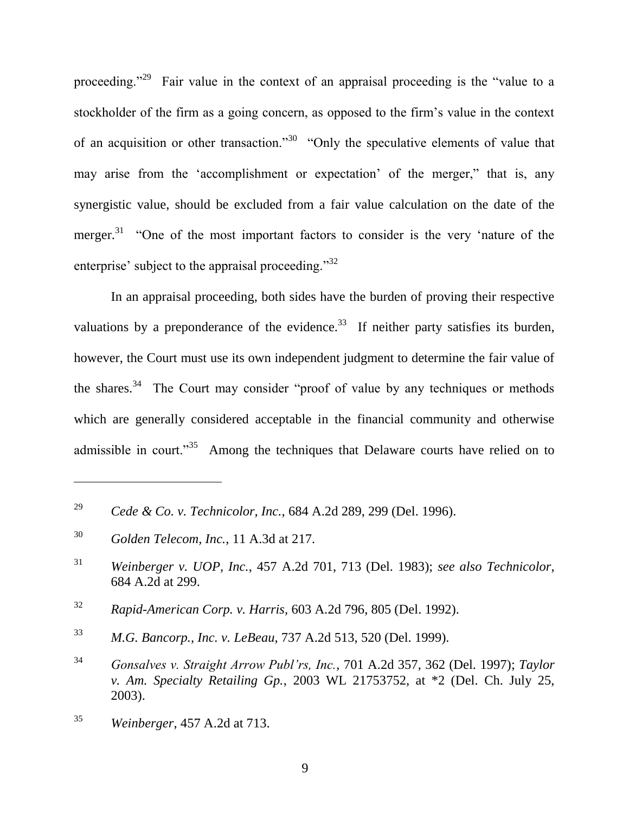proceeding."<sup>29</sup> Fair value in the context of an appraisal proceeding is the "value to a stockholder of the firm as a going concern, as opposed to the firm's value in the context of an acquisition or other transaction.<sup>30</sup> "Only the speculative elements of value that may arise from the 'accomplishment or expectation' of the merger," that is, any synergistic value, should be excluded from a fair value calculation on the date of the merger.<sup>31</sup> "One of the most important factors to consider is the very 'nature of the enterprise' subject to the appraisal proceeding. $^{332}$ 

In an appraisal proceeding, both sides have the burden of proving their respective valuations by a preponderance of the evidence.<sup>33</sup> If neither party satisfies its burden, however, the Court must use its own independent judgment to determine the fair value of the shares.<sup>34</sup> The Court may consider "proof of value by any techniques or methods which are generally considered acceptable in the financial community and otherwise admissible in court."<sup>35</sup> Among the techniques that Delaware courts have relied on to

<sup>29</sup> *Cede & Co. v. Technicolor, Inc.*, 684 A.2d 289, 299 (Del. 1996).

<sup>30</sup> *Golden Telecom, Inc.*, 11 A.3d at 217.

<sup>31</sup> *Weinberger v. UOP, Inc.*, 457 A.2d 701, 713 (Del. 1983); *see also Technicolor*, 684 A.2d at 299.

<sup>32</sup> *Rapid-American Corp. v. Harris*, 603 A.2d 796, 805 (Del. 1992).

<sup>33</sup> *M.G. Bancorp., Inc. v. LeBeau*, 737 A.2d 513, 520 (Del. 1999).

<sup>34</sup> *Gonsalves v. Straight Arrow Publ'rs, Inc.*, 701 A.2d 357, 362 (Del. 1997); *Taylor v. Am. Specialty Retailing Gp.*, 2003 WL 21753752, at \*2 (Del. Ch. July 25, 2003).

<sup>35</sup> *Weinberger*, 457 A.2d at 713.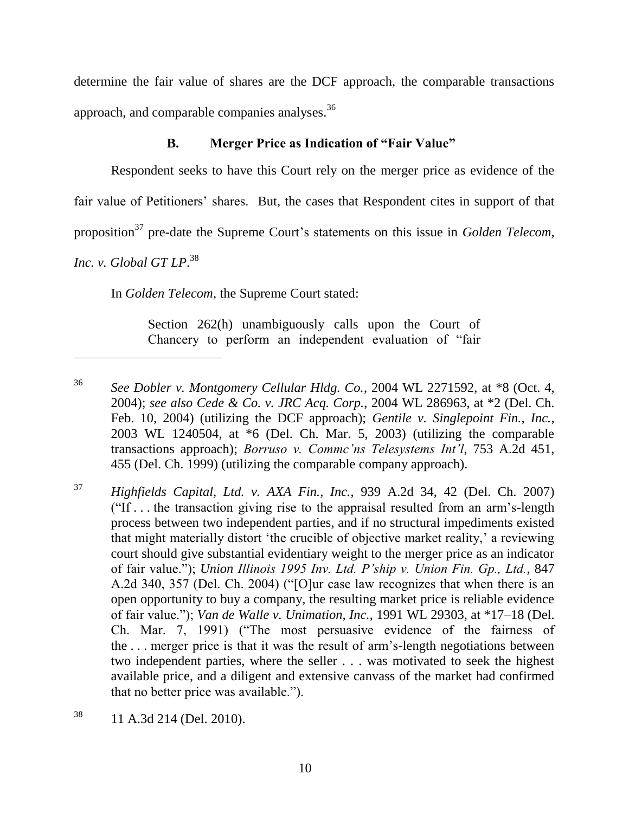determine the fair value of shares are the DCF approach, the comparable transactions approach, and comparable companies analyses.<sup>36</sup>

# **B. Merger Price as Indication of "Fair Value"**

Respondent seeks to have this Court rely on the merger price as evidence of the fair value of Petitioners' shares. But, the cases that Respondent cites in support of that proposition<sup>37</sup> pre-date the Supreme Court's statements on this issue in *Golden Telecom*, *Inc. v. Global GT LP*. 38

In *Golden Telecom*, the Supreme Court stated:

Section 262(h) unambiguously calls upon the Court of Chancery to perform an independent evaluation of "fair"

<sup>36</sup> *See Dobler v. Montgomery Cellular Hldg. Co.*, 2004 WL 2271592, at \*8 (Oct. 4, 2004); *see also Cede & Co. v. JRC Acq. Corp.*, 2004 WL 286963, at \*2 (Del. Ch. Feb. 10, 2004) (utilizing the DCF approach); *Gentile v. Singlepoint Fin., Inc.*, 2003 WL 1240504, at \*6 (Del. Ch. Mar. 5, 2003) (utilizing the comparable transactions approach); *Borruso v. Commc'ns Telesystems Int'l*, 753 A.2d 451, 455 (Del. Ch. 1999) (utilizing the comparable company approach).

<sup>37</sup> *Highfields Capital, Ltd. v. AXA Fin., Inc.*, 939 A.2d 34, 42 (Del. Ch. 2007)  $("If ... the transaction giving rise to the appraisal resulted from an arm's-length)$ process between two independent parties, and if no structural impediments existed that might materially distort 'the crucible of objective market reality,' a reviewing court should give substantial evidentiary weight to the merger price as an indicator of fair value."); *Union Illinois 1995 Inv. Ltd. P'ship v. Union Fin. Gp., Ltd.*, 847 A.2d 340, 357 (Del. Ch. 2004) ( $\degree$ [O]ur case law recognizes that when there is an open opportunity to buy a company, the resulting market price is reliable evidence of fair value.‖); *Van de Walle v. Unimation, Inc.*, 1991 WL 29303, at \*17–18 (Del. Ch. Mar. 7, 1991) ("The most persuasive evidence of the fairness of the . . . merger price is that it was the result of arm's-length negotiations between two independent parties, where the seller . . . was motivated to seek the highest available price, and a diligent and extensive canvass of the market had confirmed that no better price was available.").

<sup>38</sup> 11 A.3d 214 (Del. 2010).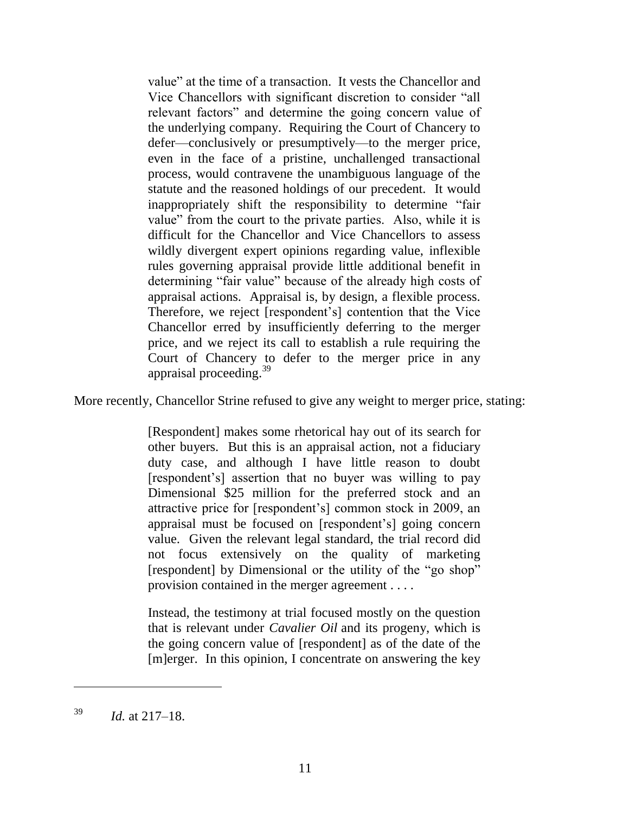value" at the time of a transaction. It vests the Chancellor and Vice Chancellors with significant discretion to consider "all relevant factors" and determine the going concern value of the underlying company. Requiring the Court of Chancery to defer—conclusively or presumptively—to the merger price, even in the face of a pristine, unchallenged transactional process, would contravene the unambiguous language of the statute and the reasoned holdings of our precedent. It would inappropriately shift the responsibility to determine "fair" value" from the court to the private parties. Also, while it is difficult for the Chancellor and Vice Chancellors to assess wildly divergent expert opinions regarding value, inflexible rules governing appraisal provide little additional benefit in determining "fair value" because of the already high costs of appraisal actions. Appraisal is, by design, a flexible process. Therefore, we reject [respondent's] contention that the Vice Chancellor erred by insufficiently deferring to the merger price, and we reject its call to establish a rule requiring the Court of Chancery to defer to the merger price in any appraisal proceeding. $39$ 

More recently, Chancellor Strine refused to give any weight to merger price, stating:

[Respondent] makes some rhetorical hay out of its search for other buyers. But this is an appraisal action, not a fiduciary duty case, and although I have little reason to doubt [respondent's] assertion that no buyer was willing to pay Dimensional \$25 million for the preferred stock and an attractive price for [respondent's] common stock in 2009, an appraisal must be focused on [respondent's] going concern value. Given the relevant legal standard, the trial record did not focus extensively on the quality of marketing [respondent] by Dimensional or the utility of the "go shop" provision contained in the merger agreement . . . .

Instead, the testimony at trial focused mostly on the question that is relevant under *Cavalier Oil* and its progeny, which is the going concern value of [respondent] as of the date of the [m]erger. In this opinion, I concentrate on answering the key

<sup>39</sup> *Id.* at 217–18.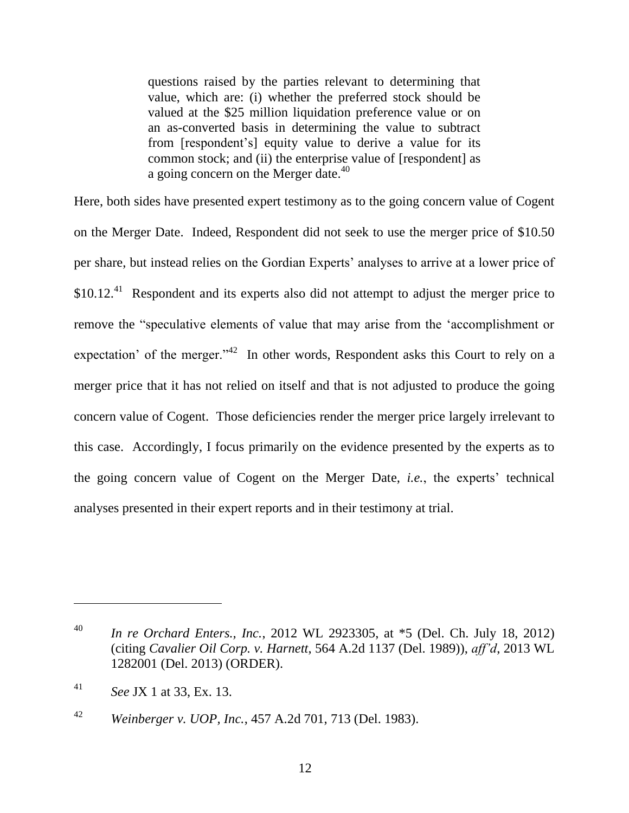questions raised by the parties relevant to determining that value, which are: (i) whether the preferred stock should be valued at the \$25 million liquidation preference value or on an as-converted basis in determining the value to subtract from [respondent's] equity value to derive a value for its common stock; and (ii) the enterprise value of [respondent] as a going concern on the Merger date. $40<sup>40</sup>$ 

Here, both sides have presented expert testimony as to the going concern value of Cogent on the Merger Date. Indeed, Respondent did not seek to use the merger price of \$10.50 per share, but instead relies on the Gordian Experts' analyses to arrive at a lower price of  $$10.12<sup>41</sup>$  Respondent and its experts also did not attempt to adjust the merger price to remove the "speculative elements of value that may arise from the 'accomplishment or expectation' of the merger.<sup> $342$ </sup> In other words, Respondent asks this Court to rely on a merger price that it has not relied on itself and that is not adjusted to produce the going concern value of Cogent. Those deficiencies render the merger price largely irrelevant to this case. Accordingly, I focus primarily on the evidence presented by the experts as to the going concern value of Cogent on the Merger Date, *i.e.*, the experts' technical analyses presented in their expert reports and in their testimony at trial.

<sup>40</sup> *In re Orchard Enters., Inc.*, 2012 WL 2923305, at \*5 (Del. Ch. July 18, 2012) (citing *Cavalier Oil Corp. v. Harnett*, 564 A.2d 1137 (Del. 1989)), *aff'd*, 2013 WL 1282001 (Del. 2013) (ORDER).

<sup>41</sup> *See* JX 1 at 33, Ex. 13.

<sup>42</sup> *Weinberger v. UOP, Inc.*, 457 A.2d 701, 713 (Del. 1983).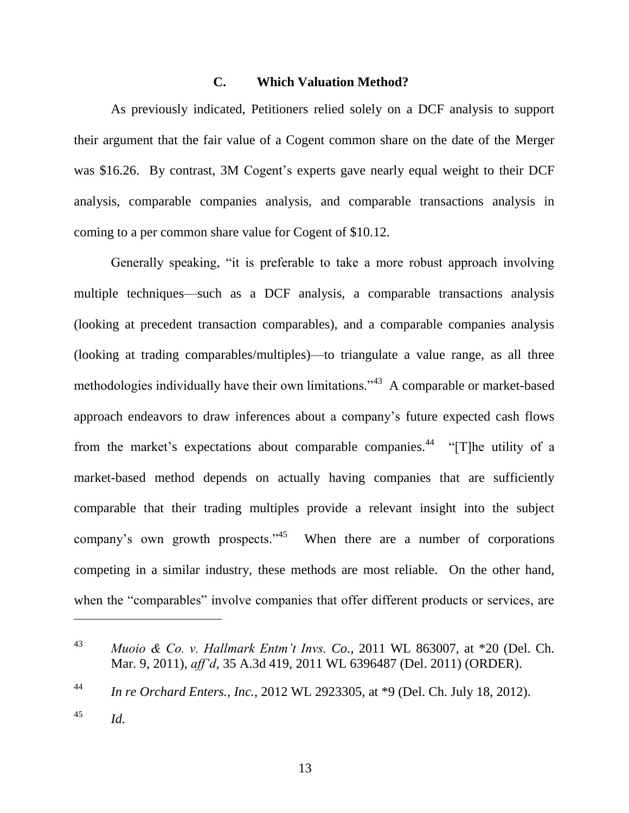## **C. Which Valuation Method?**

<span id="page-13-0"></span>As previously indicated, Petitioners relied solely on a DCF analysis to support their argument that the fair value of a Cogent common share on the date of the Merger was \$16.26. By contrast, 3M Cogent's experts gave nearly equal weight to their DCF analysis, comparable companies analysis, and comparable transactions analysis in coming to a per common share value for Cogent of \$10.12.

Generally speaking, "it is preferable to take a more robust approach involving multiple techniques—such as a DCF analysis, a comparable transactions analysis (looking at precedent transaction comparables), and a comparable companies analysis (looking at trading comparables/multiples)—to triangulate a value range, as all three methodologies individually have their own limitations.<sup> $343$ </sup> A comparable or market-based approach endeavors to draw inferences about a company's future expected cash flows from the market's expectations about comparable companies.<sup>44</sup> "[T]he utility of a market-based method depends on actually having companies that are sufficiently comparable that their trading multiples provide a relevant insight into the subject company's own growth prospects."<sup>45</sup> When there are a number of corporations competing in a similar industry, these methods are most reliable. On the other hand, when the "comparables" involve companies that offer different products or services, are

<sup>45</sup> *Id.*

<sup>43</sup> *Muoio & Co. v. Hallmark Entm't Invs. Co.*, 2011 WL 863007, at \*20 (Del. Ch. Mar. 9, 2011), *aff'd*, 35 A.3d 419, 2011 WL 6396487 (Del. 2011) (ORDER).

<sup>44</sup> *In re Orchard Enters., Inc.*, 2012 WL 2923305, at \*9 (Del. Ch. July 18, 2012).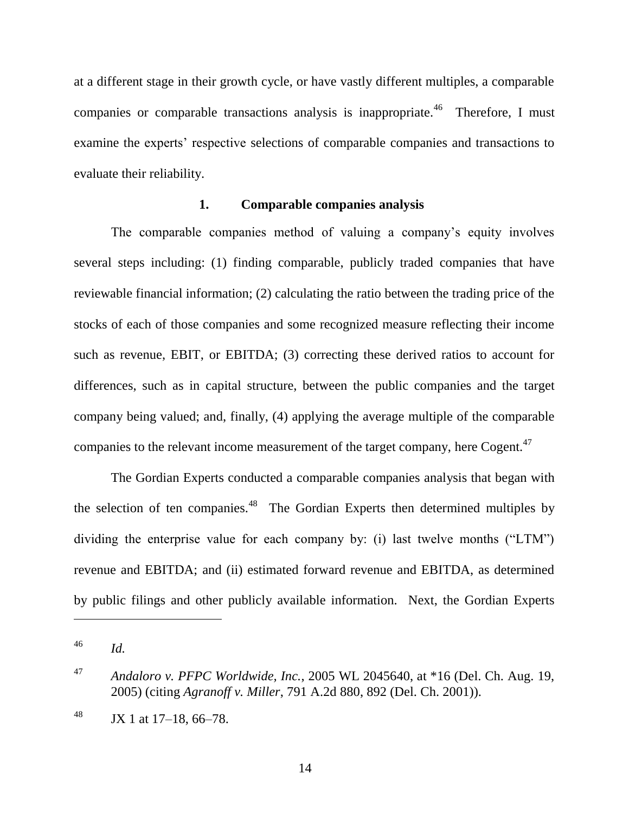at a different stage in their growth cycle, or have vastly different multiples, a comparable companies or comparable transactions analysis is inappropriate.<sup>46</sup> Therefore, I must examine the experts' respective selections of comparable companies and transactions to evaluate their reliability.

#### **1. Comparable companies analysis**

<span id="page-14-0"></span>The comparable companies method of valuing a company's equity involves several steps including: (1) finding comparable, publicly traded companies that have reviewable financial information; (2) calculating the ratio between the trading price of the stocks of each of those companies and some recognized measure reflecting their income such as revenue, EBIT, or EBITDA; (3) correcting these derived ratios to account for differences, such as in capital structure, between the public companies and the target company being valued; and, finally, (4) applying the average multiple of the comparable companies to the relevant income measurement of the target company, here  $Cogent.<sup>47</sup>$ 

The Gordian Experts conducted a comparable companies analysis that began with the selection of ten companies. $48$  The Gordian Experts then determined multiples by dividing the enterprise value for each company by: (i) last twelve months ( $"LTM"$ ) revenue and EBITDA; and (ii) estimated forward revenue and EBITDA, as determined by public filings and other publicly available information. Next, the Gordian Experts

<sup>46</sup> *Id.*

<sup>47</sup> *Andaloro v. PFPC Worldwide, Inc.*, 2005 WL 2045640, at \*16 (Del. Ch. Aug. 19, 2005) (citing *Agranoff v. Miller*, 791 A.2d 880, 892 (Del. Ch. 2001)).

 $48$  JX 1 at 17–18, 66–78.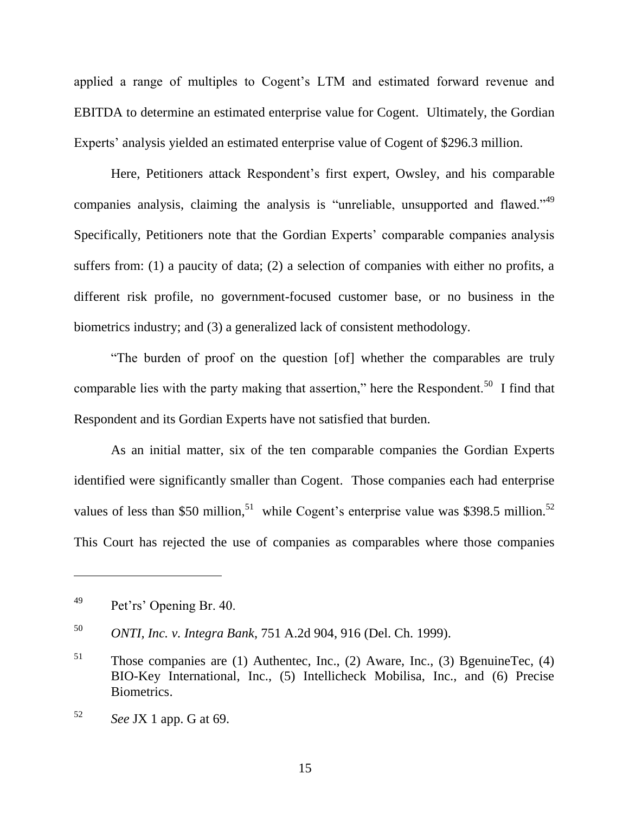applied a range of multiples to Cogent's LTM and estimated forward revenue and EBITDA to determine an estimated enterprise value for Cogent. Ultimately, the Gordian Experts' analysis yielded an estimated enterprise value of Cogent of \$296.3 million.

Here, Petitioners attack Respondent's first expert, Owsley, and his comparable companies analysis, claiming the analysis is "unreliable, unsupported and flawed."<sup>49</sup> Specifically, Petitioners note that the Gordian Experts' comparable companies analysis suffers from: (1) a paucity of data; (2) a selection of companies with either no profits, a different risk profile, no government-focused customer base, or no business in the biometrics industry; and (3) a generalized lack of consistent methodology.

―The burden of proof on the question [of] whether the comparables are truly comparable lies with the party making that assertion," here the Respondent.<sup>50</sup> I find that Respondent and its Gordian Experts have not satisfied that burden.

As an initial matter, six of the ten comparable companies the Gordian Experts identified were significantly smaller than Cogent. Those companies each had enterprise values of less than \$50 million,<sup>51</sup> while Cogent's enterprise value was \$398.5 million.<sup>52</sup> This Court has rejected the use of companies as comparables where those companies

<sup>49</sup> Pet'rs' Opening Br. 40.

<sup>50</sup> *ONTI, Inc. v. Integra Bank*, 751 A.2d 904, 916 (Del. Ch. 1999).

 $51$  Those companies are (1) Authentec, Inc., (2) Aware, Inc., (3) BgenuineTec, (4) BIO-Key International, Inc., (5) Intellicheck Mobilisa, Inc., and (6) Precise Biometrics.

<sup>52</sup> *See* JX 1 app. G at 69.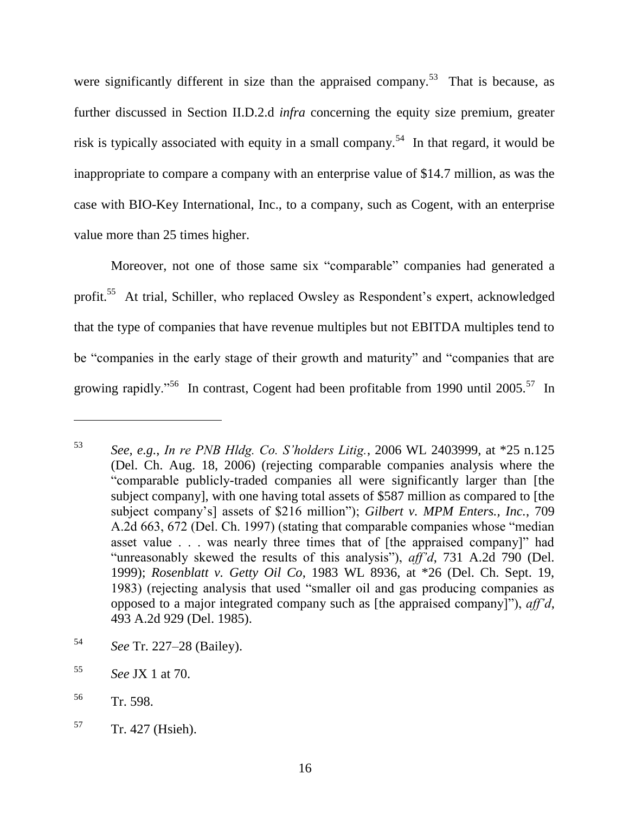were significantly different in size than the appraised company.<sup>53</sup> That is because, as further discussed in Section [II.D.2.d](#page-47-0) *infra* concerning the equity size premium, greater risk is typically associated with equity in a small company.<sup>54</sup> In that regard, it would be inappropriate to compare a company with an enterprise value of \$14.7 million, as was the case with BIO-Key International, Inc., to a company, such as Cogent, with an enterprise value more than 25 times higher.

Moreover, not one of those same six "comparable" companies had generated a profit.<sup>55</sup> At trial, Schiller, who replaced Owsley as Respondent's expert, acknowledged that the type of companies that have revenue multiples but not EBITDA multiples tend to be "companies in the early stage of their growth and maturity" and "companies that are growing rapidly."<sup>56</sup> In contrast, Cogent had been profitable from 1990 until 2005.<sup>57</sup> In

- <sup>54</sup> *See* Tr. 227–28 (Bailey).
- <sup>55</sup> *See* JX 1 at 70.
- <sup>56</sup> Tr. 598.

<sup>57</sup> Tr. 427 (Hsieh).

<sup>53</sup> *See, e.g.*, *In re PNB Hldg. Co. S'holders Litig.*, 2006 WL 2403999, at \*25 n.125 (Del. Ch. Aug. 18, 2006) (rejecting comparable companies analysis where the ―comparable publicly-traded companies all were significantly larger than [the subject company], with one having total assets of \$587 million as compared to [the subject company's] assets of \$216 million"); *Gilbert v. MPM Enters., Inc.*, 709 A.2d  $663$ ,  $672$  (Del. Ch. 1997) (stating that comparable companies whose "median asset value  $\ldots$  was nearly three times that of [the appraised company]" had "unreasonably skewed the results of this analysis"), *aff'd*, 731 A.2d 790 (Del. 1999); *Rosenblatt v. Getty Oil Co*, 1983 WL 8936, at \*26 (Del. Ch. Sept. 19, 1983) (rejecting analysis that used "smaller oil and gas producing companies as opposed to a major integrated company such as [the appraised company]‖), *aff'd*, 493 A.2d 929 (Del. 1985).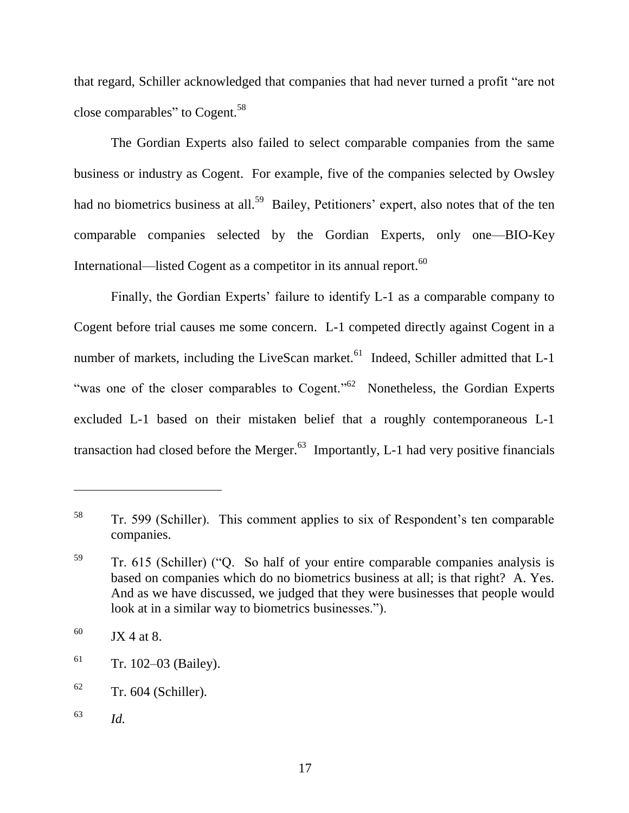that regard, Schiller acknowledged that companies that had never turned a profit "are not close comparables" to  $Cogent.<sup>58</sup>$ 

The Gordian Experts also failed to select comparable companies from the same business or industry as Cogent. For example, five of the companies selected by Owsley had no biometrics business at all.<sup>59</sup> Bailey, Petitioners' expert, also notes that of the ten comparable companies selected by the Gordian Experts, only one—BIO-Key International—listed Cogent as a competitor in its annual report.<sup>60</sup>

Finally, the Gordian Experts' failure to identify L-1 as a comparable company to Cogent before trial causes me some concern. L-1 competed directly against Cogent in a number of markets, including the LiveScan market.<sup>61</sup> Indeed, Schiller admitted that L-1 "was one of the closer comparables to Cogent." $62$  Nonetheless, the Gordian Experts excluded L-1 based on their mistaken belief that a roughly contemporaneous L-1 transaction had closed before the Merger. $^{63}$  Importantly, L-1 had very positive financials

<sup>58</sup> Tr. 599 (Schiller). This comment applies to six of Respondent's ten comparable companies.

 $59$  Tr. 615 (Schiller) ( $^{\circ}$ Q. So half of your entire comparable companies analysis is based on companies which do no biometrics business at all; is that right? A. Yes. And as we have discussed, we judged that they were businesses that people would look at in a similar way to biometrics businesses.").

 $^{60}$  JX 4 at 8.

 $61$  Tr. 102–03 (Bailey).

 $62$  Tr. 604 (Schiller).

<sup>63</sup> *Id.*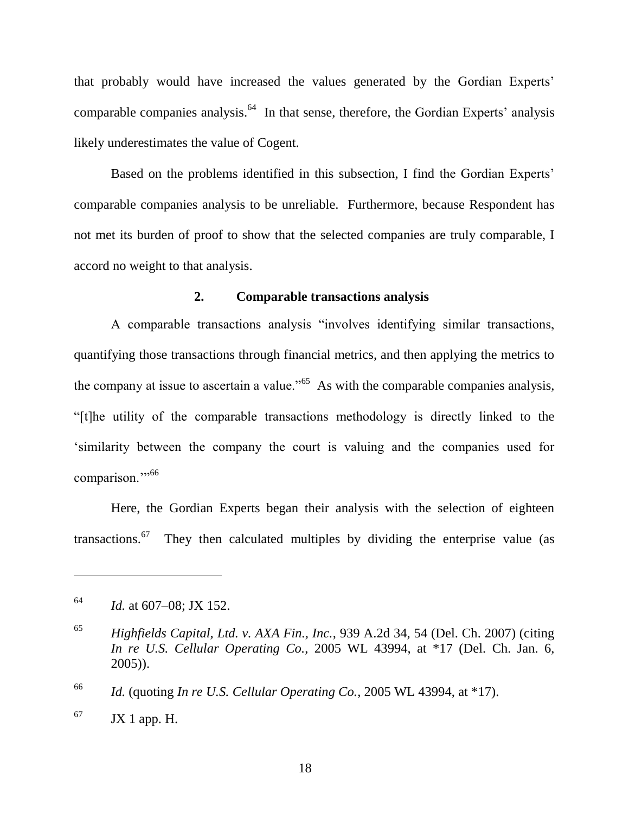that probably would have increased the values generated by the Gordian Experts' comparable companies analysis.<sup>64</sup> In that sense, therefore, the Gordian Experts' analysis likely underestimates the value of Cogent.

Based on the problems identified in this subsection, I find the Gordian Experts' comparable companies analysis to be unreliable. Furthermore, because Respondent has not met its burden of proof to show that the selected companies are truly comparable, I accord no weight to that analysis.

### **2. Comparable transactions analysis**

A comparable transactions analysis "involves identifying similar transactions, quantifying those transactions through financial metrics, and then applying the metrics to the company at issue to ascertain a value.<sup>565</sup> As with the comparable companies analysis, ―[t]he utility of the comparable transactions methodology is directly linked to the ‗similarity between the company the court is valuing and the companies used for comparison."<sup>66</sup>

Here, the Gordian Experts began their analysis with the selection of eighteen transactions.<sup>67</sup> They then calculated multiples by dividing the enterprise value (as

<sup>64</sup> *Id.* at 607–08; JX 152.

<sup>65</sup> *Highfields Capital, Ltd. v. AXA Fin., Inc.*, 939 A.2d 34, 54 (Del. Ch. 2007) (citing *In re U.S. Cellular Operating Co.*, 2005 WL 43994, at \*17 (Del. Ch. Jan. 6, 2005)).

<sup>66</sup> *Id.* (quoting *In re U.S. Cellular Operating Co.*, 2005 WL 43994, at \*17).

 $^{67}$  JX 1 app. H.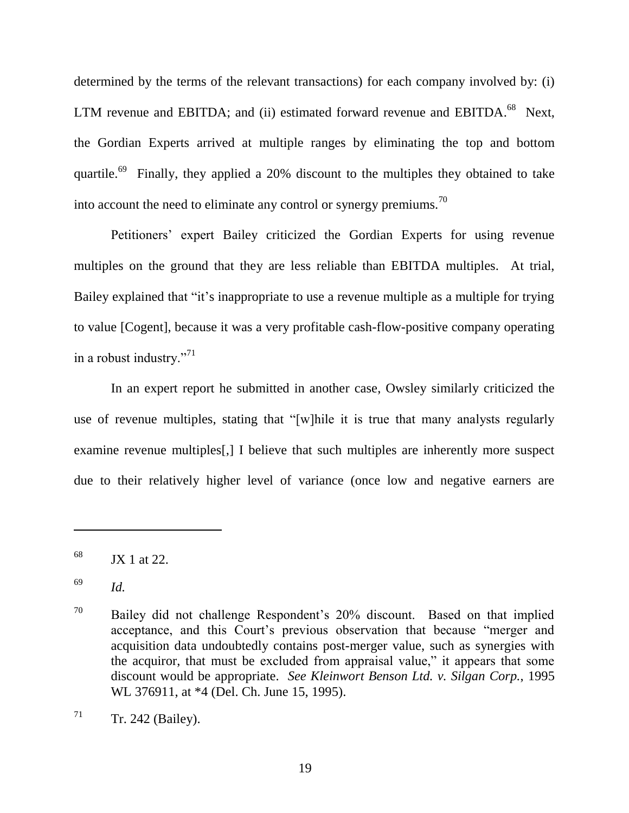determined by the terms of the relevant transactions) for each company involved by: (i) LTM revenue and EBITDA; and (ii) estimated forward revenue and EBITDA.<sup>68</sup> Next, the Gordian Experts arrived at multiple ranges by eliminating the top and bottom quartile.<sup>69</sup> Finally, they applied a 20% discount to the multiples they obtained to take into account the need to eliminate any control or synergy premiums.<sup>70</sup>

Petitioners' expert Bailey criticized the Gordian Experts for using revenue multiples on the ground that they are less reliable than EBITDA multiples. At trial, Bailey explained that "it's inappropriate to use a revenue multiple as a multiple for trying to value [Cogent], because it was a very profitable cash-flow-positive company operating in a robust industry."<sup>71</sup>

In an expert report he submitted in another case, Owsley similarly criticized the use of revenue multiples, stating that "[w]hile it is true that many analysts regularly examine revenue multiples[,] I believe that such multiples are inherently more suspect due to their relatively higher level of variance (once low and negative earners are

 $^{68}$  JX 1 at 22.

<sup>69</sup> *Id.*

<sup>70</sup> Bailey did not challenge Respondent's 20% discount. Based on that implied acceptance, and this Court's previous observation that because "merger and acquisition data undoubtedly contains post-merger value, such as synergies with the acquiror, that must be excluded from appraisal value," it appears that some discount would be appropriate. *See Kleinwort Benson Ltd. v. Silgan Corp.*, 1995 WL 376911, at  $*4$  (Del. Ch. June 15, 1995).

 $T1$  Tr. 242 (Bailey).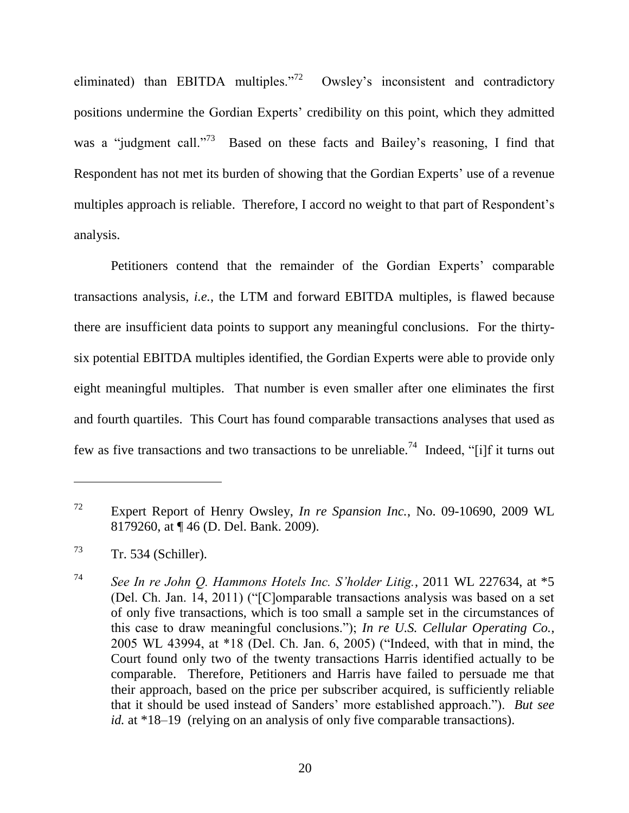eliminated) than EBITDA multiples. $172$  Owsley's inconsistent and contradictory positions undermine the Gordian Experts' credibility on this point, which they admitted was a "judgment call."<sup>73</sup> Based on these facts and Bailey's reasoning, I find that Respondent has not met its burden of showing that the Gordian Experts' use of a revenue multiples approach is reliable. Therefore, I accord no weight to that part of Respondent's analysis.

Petitioners contend that the remainder of the Gordian Experts' comparable transactions analysis, *i.e.*, the LTM and forward EBITDA multiples, is flawed because there are insufficient data points to support any meaningful conclusions. For the thirtysix potential EBITDA multiples identified, the Gordian Experts were able to provide only eight meaningful multiples. That number is even smaller after one eliminates the first and fourth quartiles. This Court has found comparable transactions analyses that used as few as five transactions and two transactions to be unreliable.<sup>74</sup> Indeed, "[i]f it turns out

<sup>72</sup> Expert Report of Henry Owsley, *In re Spansion Inc.*, No. 09-10690, 2009 WL 8179260, at ¶ 46 (D. Del. Bank. 2009).

 $T^3$  Tr. 534 (Schiller).

<sup>74</sup> *See In re John Q. Hammons Hotels Inc. S'holder Litig.*, 2011 WL 227634, at \*5 (Del. Ch. Jan. 14, 2011) ("[C]omparable transactions analysis was based on a set of only five transactions, which is too small a sample set in the circumstances of this case to draw meaningful conclusions."); *In re U.S. Cellular Operating Co.*, 2005 WL 43994, at \*18 (Del. Ch. Jan. 6, 2005) ("Indeed, with that in mind, the Court found only two of the twenty transactions Harris identified actually to be comparable. Therefore, Petitioners and Harris have failed to persuade me that their approach, based on the price per subscriber acquired, is sufficiently reliable that it should be used instead of Sanders' more established approach."). *But see id.* at \*18–19 (relying on an analysis of only five comparable transactions).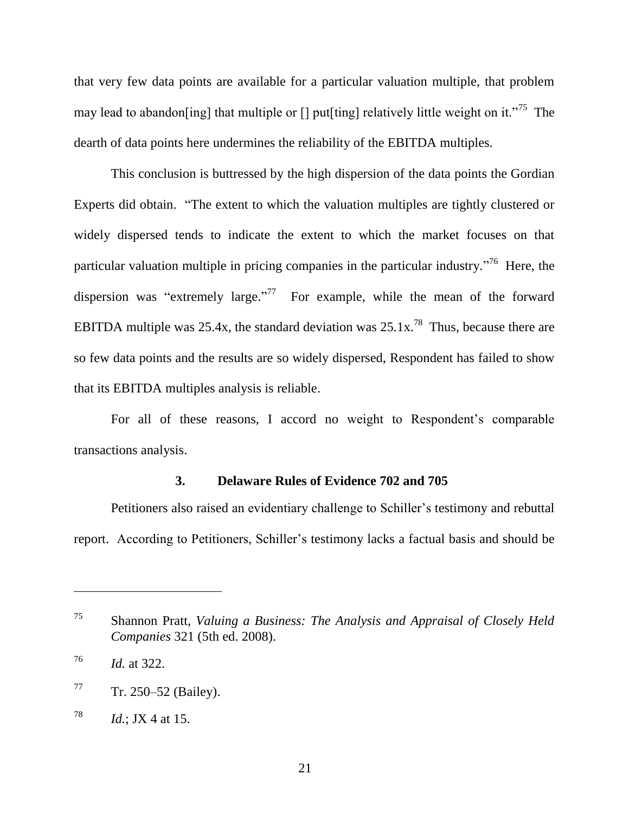that very few data points are available for a particular valuation multiple, that problem may lead to abandon [ing] that multiple or [] put [ting] relatively little weight on it."<sup>75</sup> The dearth of data points here undermines the reliability of the EBITDA multiples.

This conclusion is buttressed by the high dispersion of the data points the Gordian Experts did obtain. "The extent to which the valuation multiples are tightly clustered or widely dispersed tends to indicate the extent to which the market focuses on that particular valuation multiple in pricing companies in the particular industry."<sup>76</sup> Here, the dispersion was "extremely large."<sup>77</sup> For example, while the mean of the forward EBITDA multiple was 25.4x, the standard deviation was  $25.1x$ <sup>78</sup> Thus, because there are so few data points and the results are so widely dispersed, Respondent has failed to show that its EBITDA multiples analysis is reliable.

For all of these reasons, I accord no weight to Respondent's comparable transactions analysis.

## **3. Delaware Rules of Evidence 702 and 705**

<span id="page-21-0"></span>Petitioners also raised an evidentiary challenge to Schiller's testimony and rebuttal report. According to Petitioners, Schiller's testimony lacks a factual basis and should be

<sup>75</sup> Shannon Pratt, *Valuing a Business: The Analysis and Appraisal of Closely Held Companies* 321 (5th ed. 2008).

<sup>76</sup> *Id.* at 322.

 $77$  Tr. 250–52 (Bailey).

 $^{78}$  *Id.*; JX 4 at 15.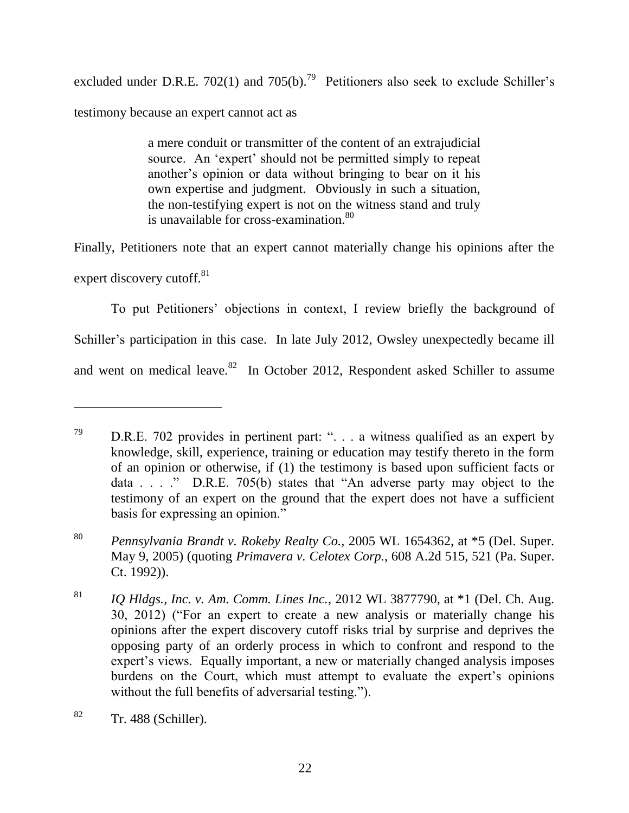excluded under D.R.E. 702(1) and 705(b).<sup>79</sup> Petitioners also seek to exclude Schiller's testimony because an expert cannot act as

> a mere conduit or transmitter of the content of an extrajudicial source. An 'expert' should not be permitted simply to repeat another's opinion or data without bringing to bear on it his own expertise and judgment. Obviously in such a situation, the non-testifying expert is not on the witness stand and truly is unavailable for cross-examination. $80<sup>80</sup>$

Finally, Petitioners note that an expert cannot materially change his opinions after the expert discovery cutoff.<sup>81</sup>

To put Petitioners' objections in context, I review briefly the background of Schiller's participation in this case. In late July 2012, Owsley unexpectedly became ill and went on medical leave. $82$  In October 2012, Respondent asked Schiller to assume

 $79$  D.R.E. 702 provides in pertinent part: "... a witness qualified as an expert by knowledge, skill, experience, training or education may testify thereto in the form of an opinion or otherwise, if (1) the testimony is based upon sufficient facts or data . . . . " D.R.E. 705(b) states that "An adverse party may object to the testimony of an expert on the ground that the expert does not have a sufficient basis for expressing an opinion."

<sup>80</sup> *Pennsylvania Brandt v. Rokeby Realty Co.*, 2005 WL 1654362, at \*5 (Del. Super. May 9, 2005) (quoting *Primavera v. Celotex Corp.*, 608 A.2d 515, 521 (Pa. Super. Ct. 1992)).

<sup>81</sup> *IQ Hldgs., Inc. v. Am. Comm. Lines Inc.*, 2012 WL 3877790, at \*1 (Del. Ch. Aug. 30, 2012) ("For an expert to create a new analysis or materially change his opinions after the expert discovery cutoff risks trial by surprise and deprives the opposing party of an orderly process in which to confront and respond to the expert's views. Equally important, a new or materially changed analysis imposes burdens on the Court, which must attempt to evaluate the expert's opinions without the full benefits of adversarial testing.").

 $82$  Tr. 488 (Schiller).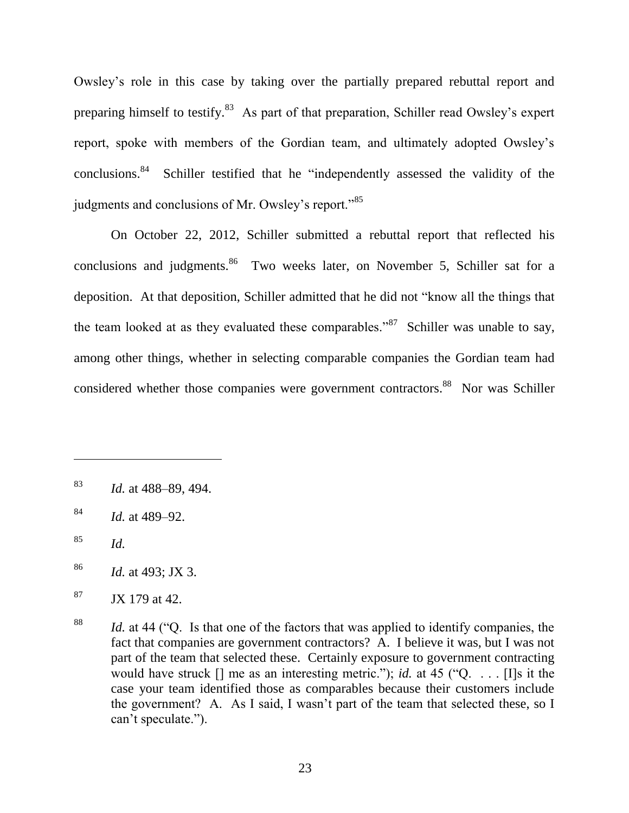Owsley's role in this case by taking over the partially prepared rebuttal report and preparing himself to testify.<sup>83</sup> As part of that preparation, Schiller read Owsley's expert report, spoke with members of the Gordian team, and ultimately adopted Owsley's conclusions.<sup>84</sup> Schiller testified that he "independently assessed the validity of the judgments and conclusions of Mr. Owsley's report."<sup>85</sup>

On October 22, 2012, Schiller submitted a rebuttal report that reflected his conclusions and judgments.  $86$  Two weeks later, on November 5, Schiller sat for a deposition. At that deposition, Schiller admitted that he did not "know all the things that the team looked at as they evaluated these comparables."<sup>87</sup> Schiller was unable to say, among other things, whether in selecting comparable companies the Gordian team had considered whether those companies were government contractors.<sup>88</sup> Nor was Schiller

<sup>83</sup> *Id.* at 488–89, 494.

<sup>84</sup> *Id.* at 489–92.

<sup>85</sup> *Id.*

<sup>86</sup> *Id.* at 493; JX 3.

 $87$  JX 179 at 42.

<sup>&</sup>lt;sup>88</sup> *Id.* at 44 (O. Is that one of the factors that was applied to identify companies, the fact that companies are government contractors? A. I believe it was, but I was not part of the team that selected these. Certainly exposure to government contracting would have struck  $\lceil \cdot \rceil$  me as an interesting metric."); *id.* at 45 ("Q. ...  $\lceil \cdot \rceil$  is it the case your team identified those as comparables because their customers include the government? A. As I said, I wasn't part of the team that selected these, so I can't speculate.").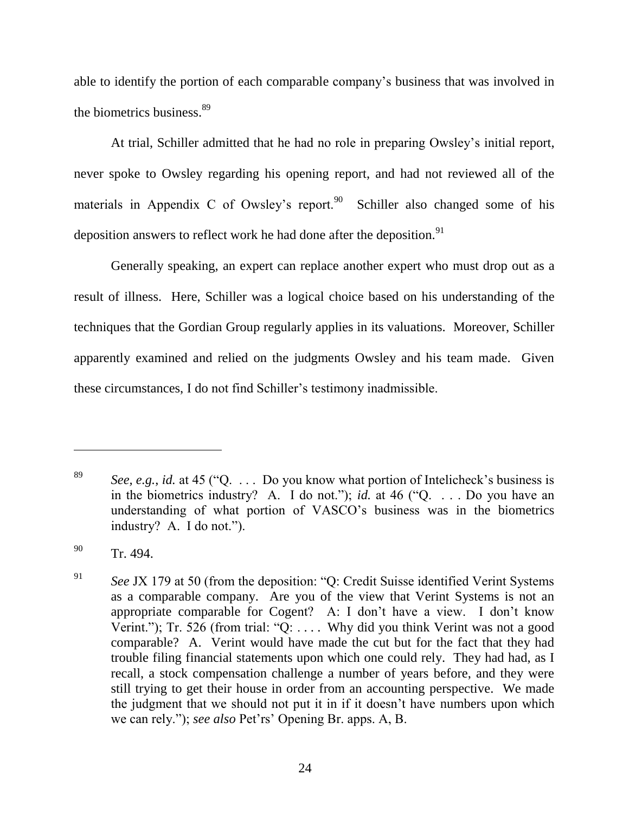able to identify the portion of each comparable company's business that was involved in the biometrics business.<sup>89</sup>

At trial, Schiller admitted that he had no role in preparing Owsley's initial report, never spoke to Owsley regarding his opening report, and had not reviewed all of the materials in Appendix C of Owsley's report.<sup>90</sup> Schiller also changed some of his deposition answers to reflect work he had done after the deposition.<sup>91</sup>

Generally speaking, an expert can replace another expert who must drop out as a result of illness. Here, Schiller was a logical choice based on his understanding of the techniques that the Gordian Group regularly applies in its valuations. Moreover, Schiller apparently examined and relied on the judgments Owsley and his team made. Given these circumstances, I do not find Schiller's testimony inadmissible.

<sup>&</sup>lt;sup>89</sup> *See, e.g., id.* at 45 ( $\degree$ Q. ... Do you know what portion of Intelicheck's business is in the biometrics industry? A. I do not."); *id.* at 46 ( $\degree$ Q. . . . Do you have an understanding of what portion of VASCO's business was in the biometrics industry? A. I do not.").

<sup>90</sup> Tr. 494.

<sup>&</sup>lt;sup>91</sup> *See* JX 179 at 50 (from the deposition: "Q: Credit Suisse identified Verint Systems as a comparable company. Are you of the view that Verint Systems is not an appropriate comparable for Cogent? A: I don't have a view. I don't know Verint."); Tr. 526 (from trial: "Q: .... Why did you think Verint was not a good comparable? A. Verint would have made the cut but for the fact that they had trouble filing financial statements upon which one could rely. They had had, as I recall, a stock compensation challenge a number of years before, and they were still trying to get their house in order from an accounting perspective. We made the judgment that we should not put it in if it doesn't have numbers upon which we can rely.‖); *see also* Pet'rs' Opening Br. apps. A, B.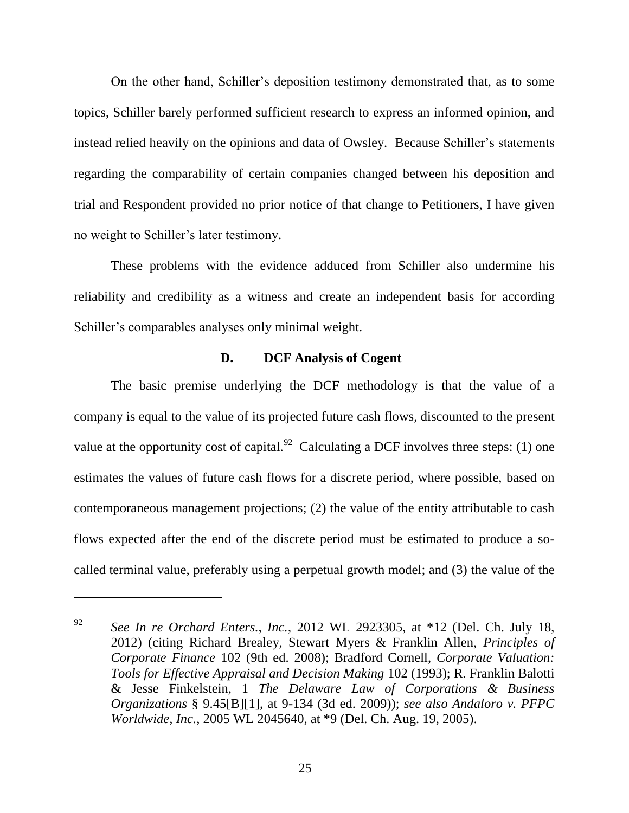On the other hand, Schiller's deposition testimony demonstrated that, as to some topics, Schiller barely performed sufficient research to express an informed opinion, and instead relied heavily on the opinions and data of Owsley. Because Schiller's statements regarding the comparability of certain companies changed between his deposition and trial and Respondent provided no prior notice of that change to Petitioners, I have given no weight to Schiller's later testimony.

These problems with the evidence adduced from Schiller also undermine his reliability and credibility as a witness and create an independent basis for according Schiller's comparables analyses only minimal weight.

## **D. DCF Analysis of Cogent**

The basic premise underlying the DCF methodology is that the value of a company is equal to the value of its projected future cash flows, discounted to the present value at the opportunity cost of capital.<sup>92</sup> Calculating a DCF involves three steps: (1) one estimates the values of future cash flows for a discrete period, where possible, based on contemporaneous management projections; (2) the value of the entity attributable to cash flows expected after the end of the discrete period must be estimated to produce a socalled terminal value, preferably using a perpetual growth model; and (3) the value of the

<sup>92</sup> *See In re Orchard Enters., Inc.*, 2012 WL 2923305, at \*12 (Del. Ch. July 18, 2012) (citing Richard Brealey, Stewart Myers & Franklin Allen, *Principles of Corporate Finance* 102 (9th ed. 2008); Bradford Cornell, *Corporate Valuation: Tools for Effective Appraisal and Decision Making* 102 (1993); R. Franklin Balotti & Jesse Finkelstein, 1 *The Delaware Law of Corporations & Business Organizations* § 9.45[B][1], at 9-134 (3d ed. 2009)); *see also Andaloro v. PFPC Worldwide, Inc.*, 2005 WL 2045640, at \*9 (Del. Ch. Aug. 19, 2005).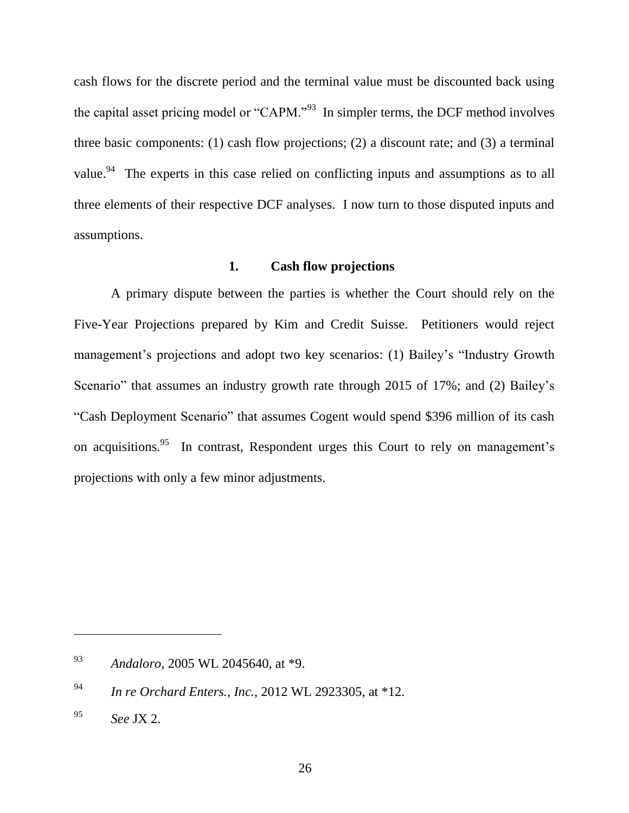cash flows for the discrete period and the terminal value must be discounted back using the capital asset pricing model or "CAPM."<sup>93</sup> In simpler terms, the DCF method involves three basic components: (1) cash flow projections; (2) a discount rate; and (3) a terminal value.<sup>94</sup> The experts in this case relied on conflicting inputs and assumptions as to all three elements of their respective DCF analyses. I now turn to those disputed inputs and assumptions.

## **1. Cash flow projections**

A primary dispute between the parties is whether the Court should rely on the Five-Year Projections prepared by Kim and Credit Suisse. Petitioners would reject management's projections and adopt two key scenarios: (1) Bailey's "Industry Growth Scenario" that assumes an industry growth rate through 2015 of 17%; and (2) Bailey's "Cash Deployment Scenario" that assumes Cogent would spend \$396 million of its cash on acquisitions.<sup>95</sup> In contrast, Respondent urges this Court to rely on management's projections with only a few minor adjustments.

<sup>93</sup> *Andaloro*, 2005 WL 2045640, at \*9.

<sup>94</sup> *In re Orchard Enters., Inc.*, 2012 WL 2923305, at \*12.

<sup>95</sup> *See* JX 2.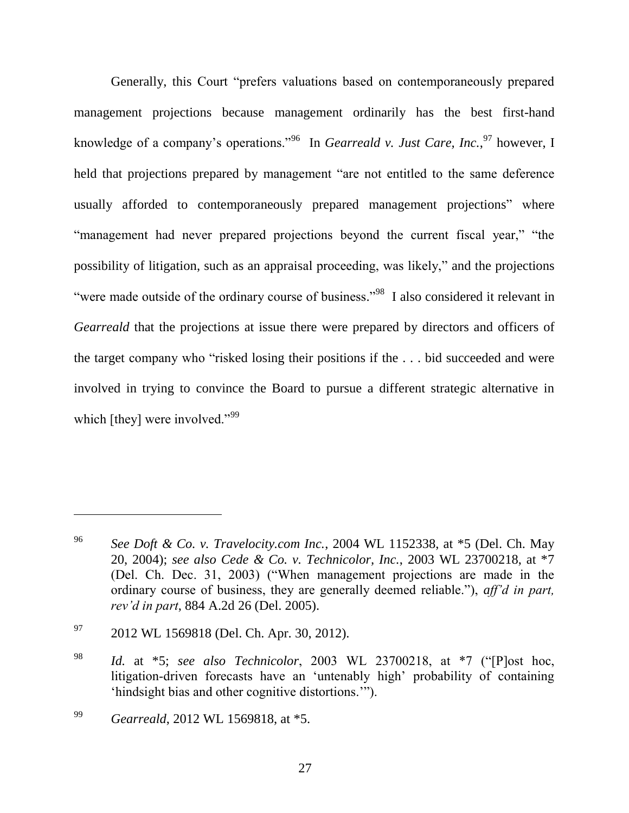Generally, this Court "prefers valuations based on contemporaneously prepared management projections because management ordinarily has the best first-hand knowledge of a company's operations."<sup>96</sup> In *Gearreald v. Just Care, Inc.*, <sup>97</sup> however, I held that projections prepared by management "are not entitled to the same deference usually afforded to contemporaneously prepared management projections" where "management had never prepared projections beyond the current fiscal year," "the possibility of litigation, such as an appraisal proceeding, was likely," and the projections "were made outside of the ordinary course of business."<sup>98</sup> I also considered it relevant in *Gearreald* that the projections at issue there were prepared by directors and officers of the target company who "risked losing their positions if the  $\dots$  bid succeeded and were involved in trying to convince the Board to pursue a different strategic alternative in which [they] were involved." $99$ 

<sup>96</sup> *See Doft & Co. v. Travelocity.com Inc.*, 2004 WL 1152338, at \*5 (Del. Ch. May 20, 2004); *see also Cede & Co. v. Technicolor, Inc.*, 2003 WL 23700218, at \*7 (Del. Ch. Dec. 31, 2003) ("When management projections are made in the ordinary course of business, they are generally deemed reliable."), *aff'd in part*, *rev'd in part*, 884 A.2d 26 (Del. 2005).

<sup>&</sup>lt;sup>97</sup> 2012 WL 1569818 (Del. Ch. Apr. 30, 2012).

<sup>&</sup>lt;sup>98</sup> *Id.* at \*5; *see also Technicolor*, 2003 WL 23700218, at \*7 ("[P]ost hoc, litigation-driven forecasts have an 'untenably high' probability of containing 'hindsight bias and other cognitive distortions.'").

<sup>99</sup> *Gearreald*, 2012 WL 1569818, at \*5.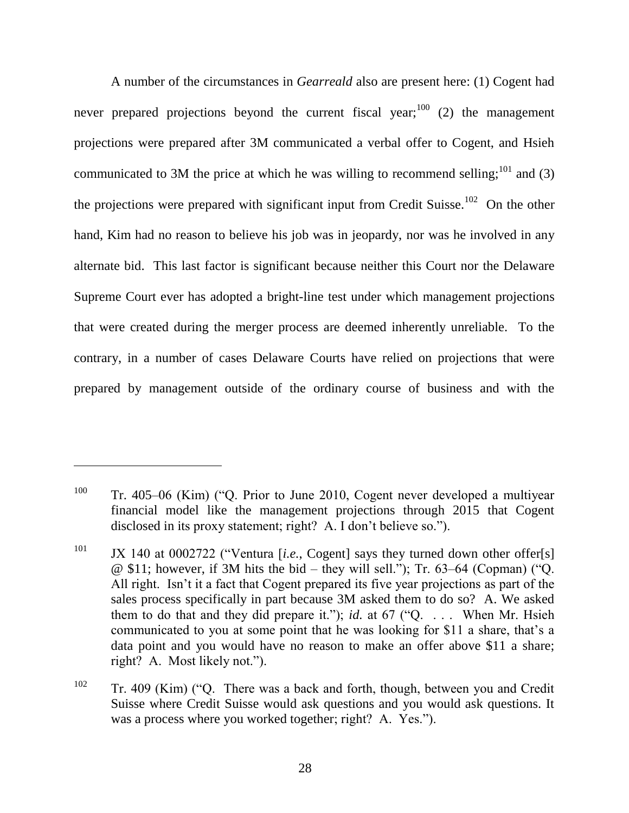A number of the circumstances in *Gearreald* also are present here: (1) Cogent had never prepared projections beyond the current fiscal year; $100$  (2) the management projections were prepared after 3M communicated a verbal offer to Cogent, and Hsieh communicated to 3M the price at which he was willing to recommend selling;  $101$  and (3) the projections were prepared with significant input from Credit Suisse.<sup>102</sup> On the other hand, Kim had no reason to believe his job was in jeopardy, nor was he involved in any alternate bid. This last factor is significant because neither this Court nor the Delaware Supreme Court ever has adopted a bright-line test under which management projections that were created during the merger process are deemed inherently unreliable. To the contrary, in a number of cases Delaware Courts have relied on projections that were prepared by management outside of the ordinary course of business and with the

 $100$  Tr. 405–06 (Kim) ( $^{\circ}$ Q. Prior to June 2010, Cogent never developed a multiyear financial model like the management projections through 2015 that Cogent disclosed in its proxy statement; right? A. I don't believe so.").

 $\overline{a}$ 

<sup>101</sup> JX 140 at 0002722 ("Ventura [*i.e.*, Cogent] says they turned down other offer[s]  $@$  \$11; however, if 3M hits the bid – they will sell."); Tr. 63–64 (Copman) ("Q. All right. Isn't it a fact that Cogent prepared its five year projections as part of the sales process specifically in part because 3M asked them to do so? A. We asked them to do that and they did prepare it."); *id.* at 67 ("Q. . . . When Mr. Hsieh communicated to you at some point that he was looking for \$11 a share, that's a data point and you would have no reason to make an offer above \$11 a share; right? A. Most likely not.").

 $102$  Tr. 409 (Kim) ( $^{\circ}$ Q. There was a back and forth, though, between you and Credit Suisse where Credit Suisse would ask questions and you would ask questions. It was a process where you worked together; right? A. Yes.").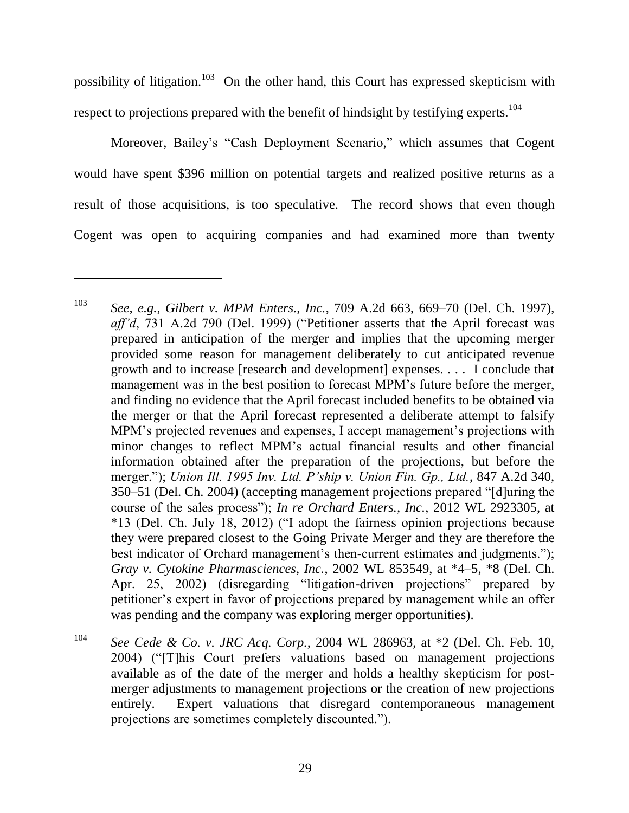possibility of litigation.<sup>103</sup> On the other hand, this Court has expressed skepticism with respect to projections prepared with the benefit of hindsight by testifying experts.<sup>104</sup>

Moreover, Bailey's "Cash Deployment Scenario," which assumes that Cogent would have spent \$396 million on potential targets and realized positive returns as a result of those acquisitions, is too speculative. The record shows that even though Cogent was open to acquiring companies and had examined more than twenty

<sup>103</sup> *See, e.g.*, *Gilbert v. MPM Enters., Inc.*, 709 A.2d 663, 669–70 (Del. Ch. 1997), *aff'd*, 731 A.2d 790 (Del. 1999) ("Petitioner asserts that the April forecast was prepared in anticipation of the merger and implies that the upcoming merger provided some reason for management deliberately to cut anticipated revenue growth and to increase [research and development] expenses. . . . I conclude that management was in the best position to forecast MPM's future before the merger, and finding no evidence that the April forecast included benefits to be obtained via the merger or that the April forecast represented a deliberate attempt to falsify MPM's projected revenues and expenses, I accept management's projections with minor changes to reflect MPM's actual financial results and other financial information obtained after the preparation of the projections, but before the merger.‖); *Union Ill. 1995 Inv. Ltd. P'ship v. Union Fin. Gp., Ltd.*, 847 A.2d 340, 350–51 (Del. Ch. 2004) (accepting management projections prepared "[d]uring the course of the sales process"); *In re Orchard Enters., Inc.*, 2012 WL 2923305, at \*13 (Del. Ch. July 18, 2012) ("I adopt the fairness opinion projections because they were prepared closest to the Going Private Merger and they are therefore the best indicator of Orchard management's then-current estimates and judgments."); *Gray v. Cytokine Pharmasciences, Inc.*, 2002 WL 853549, at \*4–5, \*8 (Del. Ch. Apr. 25, 2002) (disregarding "litigation-driven projections" prepared by petitioner's expert in favor of projections prepared by management while an offer was pending and the company was exploring merger opportunities).

<sup>104</sup> *See Cede & Co. v. JRC Acq. Corp.*, 2004 WL 286963, at \*2 (Del. Ch. Feb. 10, 2004) ("This Court prefers valuations based on management projections available as of the date of the merger and holds a healthy skepticism for postmerger adjustments to management projections or the creation of new projections entirely. Expert valuations that disregard contemporaneous management projections are sometimes completely discounted.").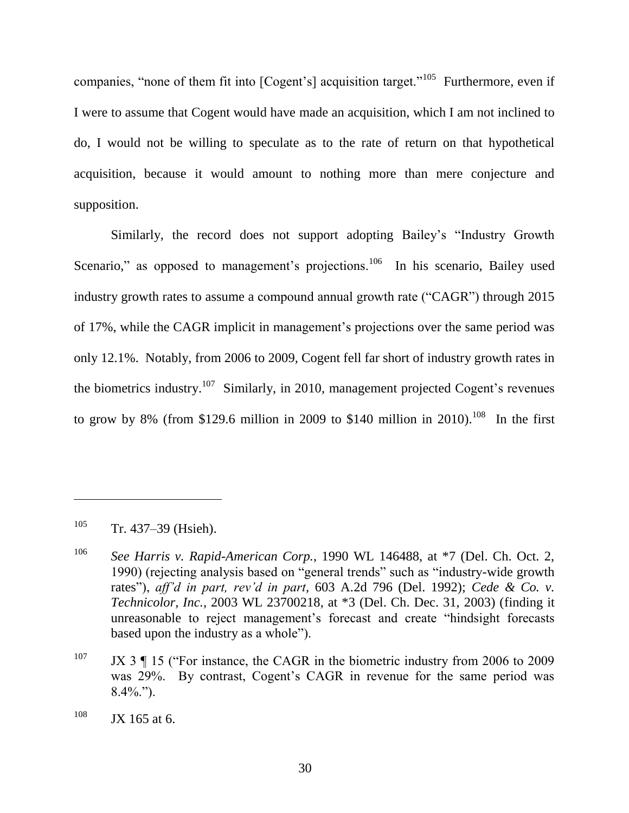companies, "none of them fit into [Cogent's] acquisition target."<sup>105</sup> Furthermore, even if I were to assume that Cogent would have made an acquisition, which I am not inclined to do, I would not be willing to speculate as to the rate of return on that hypothetical acquisition, because it would amount to nothing more than mere conjecture and supposition.

Similarly, the record does not support adopting Bailey's "Industry Growth Scenario," as opposed to management's projections.<sup>106</sup> In his scenario, Bailey used industry growth rates to assume a compound annual growth rate ("CAGR") through 2015 of 17%, while the CAGR implicit in management's projections over the same period was only 12.1%. Notably, from 2006 to 2009, Cogent fell far short of industry growth rates in the biometrics industry.<sup>107</sup> Similarly, in 2010, management projected Cogent's revenues to grow by 8% (from \$129.6 million in 2009 to \$140 million in 2010).<sup>108</sup> In the first

 $105$  Tr. 437–39 (Hsieh).

<sup>106</sup> *See Harris v. Rapid-American Corp.*, 1990 WL 146488, at \*7 (Del. Ch. Oct. 2, 1990) (rejecting analysis based on "general trends" such as "industry-wide growth rates‖), *aff'd in part, rev'd in part*, 603 A.2d 796 (Del. 1992); *Cede & Co. v. Technicolor, Inc.*, 2003 WL 23700218, at \*3 (Del. Ch. Dec. 31, 2003) (finding it unreasonable to reject management's forecast and create "hindsight forecasts" based upon the industry as a whole").

 $107$  JX 3 ¶ 15 ("For instance, the CAGR in the biometric industry from 2006 to 2009 was 29%. By contrast, Cogent's CAGR in revenue for the same period was  $8.4\%$ .").

 $108$  JX 165 at 6.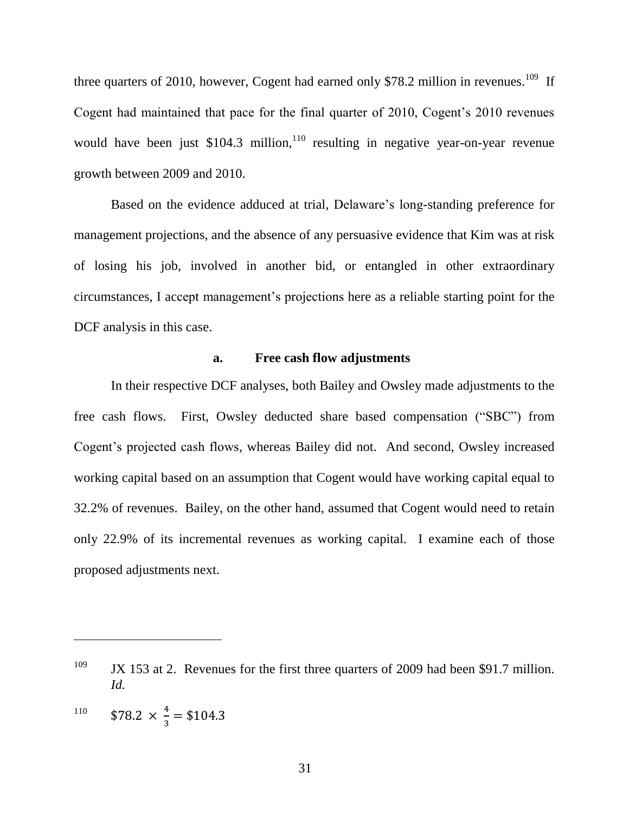three quarters of 2010, however, Cogent had earned only \$78.2 million in revenues.<sup>109</sup> If Cogent had maintained that pace for the final quarter of 2010, Cogent's 2010 revenues would have been just \$104.3 million, <sup>110</sup> resulting in negative year-on-year revenue growth between 2009 and 2010.

Based on the evidence adduced at trial, Delaware's long-standing preference for management projections, and the absence of any persuasive evidence that Kim was at risk of losing his job, involved in another bid, or entangled in other extraordinary circumstances, I accept management's projections here as a reliable starting point for the DCF analysis in this case.

### **a. Free cash flow adjustments**

In their respective DCF analyses, both Bailey and Owsley made adjustments to the free cash flows. First, Owsley deducted share based compensation ("SBC") from Cogent's projected cash flows, whereas Bailey did not. And second, Owsley increased working capital based on an assumption that Cogent would have working capital equal to 32.2% of revenues. Bailey, on the other hand, assumed that Cogent would need to retain only 22.9% of its incremental revenues as working capital. I examine each of those proposed adjustments next.

$$
^{110} \qquad $78.2 \times \frac{4}{3} = $104.3
$$

<sup>&</sup>lt;sup>109</sup> JX 153 at 2. Revenues for the first three quarters of 2009 had been \$91.7 million. *Id.*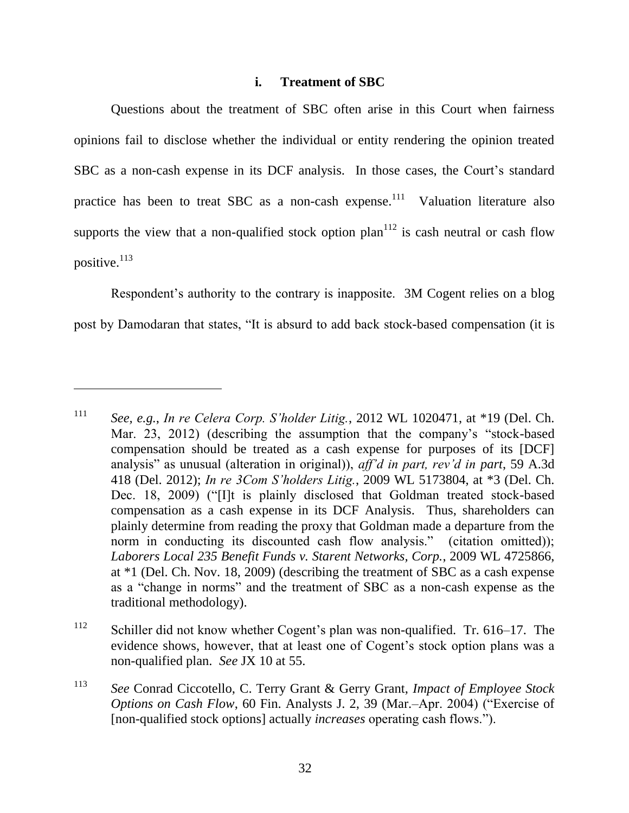#### **i. Treatment of SBC**

Questions about the treatment of SBC often arise in this Court when fairness opinions fail to disclose whether the individual or entity rendering the opinion treated SBC as a non-cash expense in its DCF analysis. In those cases, the Court's standard practice has been to treat SBC as a non-cash expense.<sup>111</sup> Valuation literature also supports the view that a non-qualified stock option  $plan<sup>112</sup>$  is cash neutral or cash flow positive.<sup>113</sup>

Respondent's authority to the contrary is inapposite. 3M Cogent relies on a blog post by Damodaran that states, "It is absurd to add back stock-based compensation (it is

<sup>111</sup> *See, e.g.*, *In re Celera Corp. S'holder Litig.*, 2012 WL 1020471, at \*19 (Del. Ch. Mar. 23, 2012) (describing the assumption that the company's "stock-based compensation should be treated as a cash expense for purposes of its [DCF] analysis" as unusual (alteration in original)), *aff'd in part, rev'd in part*, 59 A.3d 418 (Del. 2012); *In re 3Com S'holders Litig.*, 2009 WL 5173804, at \*3 (Del. Ch. Dec. 18, 2009) ("[I]t is plainly disclosed that Goldman treated stock-based compensation as a cash expense in its DCF Analysis. Thus, shareholders can plainly determine from reading the proxy that Goldman made a departure from the norm in conducting its discounted cash flow analysis." (citation omitted)); *Laborers Local 235 Benefit Funds v. Starent Networks, Corp.*, 2009 WL 4725866, at \*1 (Del. Ch. Nov. 18, 2009) (describing the treatment of SBC as a cash expense as a "change in norms" and the treatment of SBC as a non-cash expense as the traditional methodology).

<sup>112</sup> Schiller did not know whether Cogent's plan was non-qualified. Tr. 616–17. The evidence shows, however, that at least one of Cogent's stock option plans was a non-qualified plan. *See* JX 10 at 55.

<sup>113</sup> *See* Conrad Ciccotello, C. Terry Grant & Gerry Grant, *Impact of Employee Stock Options on Cash Flow, 60 Fin. Analysts J. 2, 39 (Mar.–Apr. 2004) ("Exercise of* [non-qualified stock options] actually *increases* operating cash flows.").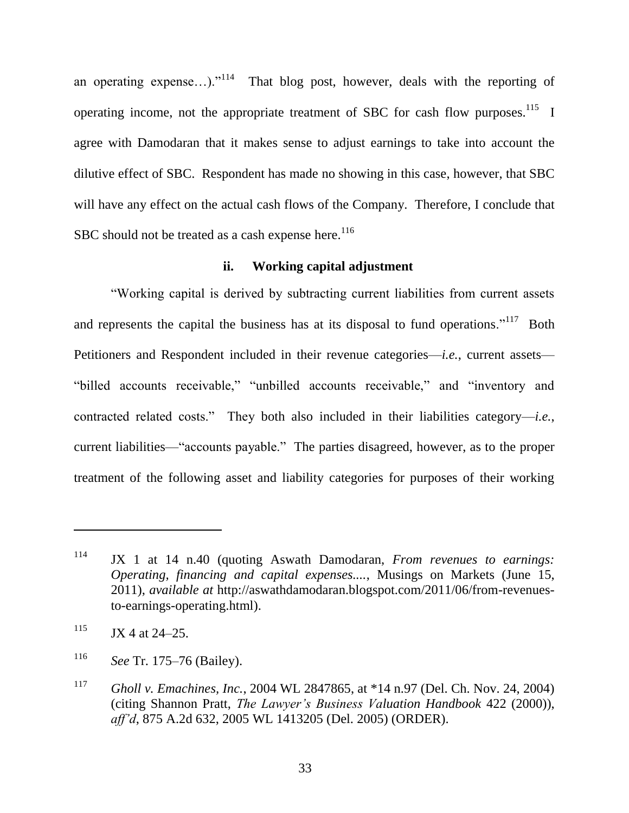an operating expense...)."<sup>114</sup> That blog post, however, deals with the reporting of operating income, not the appropriate treatment of SBC for cash flow purposes.<sup>115</sup> I agree with Damodaran that it makes sense to adjust earnings to take into account the dilutive effect of SBC. Respondent has made no showing in this case, however, that SBC will have any effect on the actual cash flows of the Company. Therefore, I conclude that SBC should not be treated as a cash expense here.<sup>116</sup>

## **ii. Working capital adjustment**

―Working capital is derived by subtracting current liabilities from current assets and represents the capital the business has at its disposal to fund operations."<sup>117</sup> Both Petitioners and Respondent included in their revenue categories—*i.e.*, current assets— "billed accounts receivable," "unbilled accounts receivable," and "inventory and contracted related costs." They both also included in their liabilities category—*i.e.*, current liabilities—"accounts payable." The parties disagreed, however, as to the proper treatment of the following asset and liability categories for purposes of their working

<sup>114</sup> JX 1 at 14 n.40 (quoting Aswath Damodaran, *From revenues to earnings: Operating, financing and capital expenses....*, Musings on Markets (June 15, 2011), *available at* http://aswathdamodaran.blogspot.com/2011/06/from-revenuesto-earnings-operating.html).

 $115$  JX 4 at 24–25.

<sup>116</sup> *See* Tr. 175–76 (Bailey).

<sup>117</sup> *Gholl v. Emachines, Inc.*, 2004 WL 2847865, at \*14 n.97 (Del. Ch. Nov. 24, 2004) (citing Shannon Pratt, *The Lawyer's Business Valuation Handbook* 422 (2000)), *aff'd*, 875 A.2d 632, 2005 WL 1413205 (Del. 2005) (ORDER).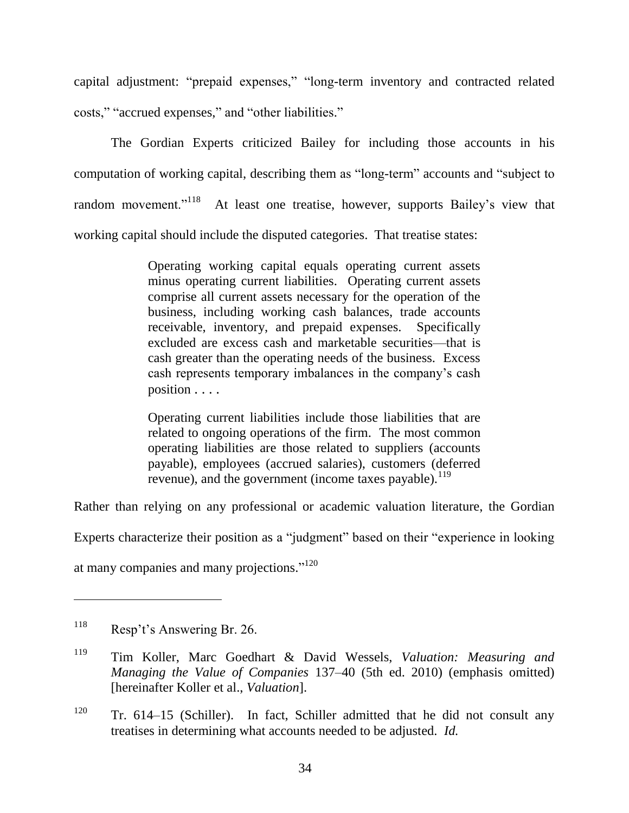capital adjustment: "prepaid expenses," "long-term inventory and contracted related costs," "accrued expenses," and "other liabilities."

The Gordian Experts criticized Bailey for including those accounts in his computation of working capital, describing them as "long-term" accounts and "subject to random movement."<sup>118</sup> At least one treatise, however, supports Bailey's view that working capital should include the disputed categories. That treatise states:

> Operating working capital equals operating current assets minus operating current liabilities. Operating current assets comprise all current assets necessary for the operation of the business, including working cash balances, trade accounts receivable, inventory, and prepaid expenses. Specifically excluded are excess cash and marketable securities—that is cash greater than the operating needs of the business. Excess cash represents temporary imbalances in the company's cash position . . . .

> <span id="page-34-0"></span>Operating current liabilities include those liabilities that are related to ongoing operations of the firm. The most common operating liabilities are those related to suppliers (accounts payable), employees (accrued salaries), customers (deferred revenue), and the government (income taxes payable). $^{119}$

Rather than relying on any professional or academic valuation literature, the Gordian

Experts characterize their position as a "judgment" based on their "experience in looking

at many companies and many projections."<sup>120</sup>

<sup>118</sup> Resp't's Answering Br. 26.

<sup>119</sup> Tim Koller, Marc Goedhart & David Wessels, *Valuation: Measuring and Managing the Value of Companies* 137–40 (5th ed. 2010) (emphasis omitted) [hereinafter Koller et al., *Valuation*].

<sup>&</sup>lt;sup>120</sup> Tr. 614–15 (Schiller). In fact, Schiller admitted that he did not consult any treatises in determining what accounts needed to be adjusted. *Id.*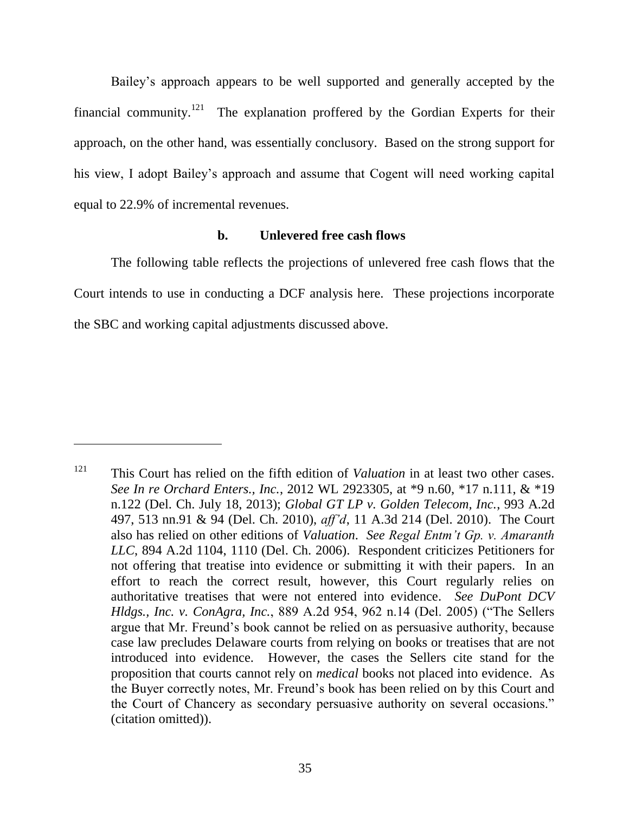Bailey's approach appears to be well supported and generally accepted by the financial community. The explanation proffered by the Gordian Experts for their approach, on the other hand, was essentially conclusory. Based on the strong support for his view, I adopt Bailey's approach and assume that Cogent will need working capital equal to 22.9% of incremental revenues.

## **b. Unlevered free cash flows**

The following table reflects the projections of unlevered free cash flows that the Court intends to use in conducting a DCF analysis here. These projections incorporate the SBC and working capital adjustments discussed above.

<sup>121</sup> This Court has relied on the fifth edition of *Valuation* in at least two other cases. *See In re Orchard Enters., Inc.*, 2012 WL 2923305, at \*9 n.60, \*17 n.111, & \*19 n.122 (Del. Ch. July 18, 2013); *Global GT LP v. Golden Telecom, Inc.*, 993 A.2d 497, 513 nn.91 & 94 (Del. Ch. 2010), *aff'd*, 11 A.3d 214 (Del. 2010). The Court also has relied on other editions of *Valuation*. *See Regal Entm't Gp. v. Amaranth LLC*, 894 A.2d 1104, 1110 (Del. Ch. 2006). Respondent criticizes Petitioners for not offering that treatise into evidence or submitting it with their papers. In an effort to reach the correct result, however, this Court regularly relies on authoritative treatises that were not entered into evidence. *See DuPont DCV Hldgs., Inc. v. ConAgra, Inc.*, 889 A.2d 954, 962 n.14 (Del. 2005) ("The Sellers argue that Mr. Freund's book cannot be relied on as persuasive authority, because case law precludes Delaware courts from relying on books or treatises that are not introduced into evidence. However, the cases the Sellers cite stand for the proposition that courts cannot rely on *medical* books not placed into evidence. As the Buyer correctly notes, Mr. Freund's book has been relied on by this Court and the Court of Chancery as secondary persuasive authority on several occasions." (citation omitted)).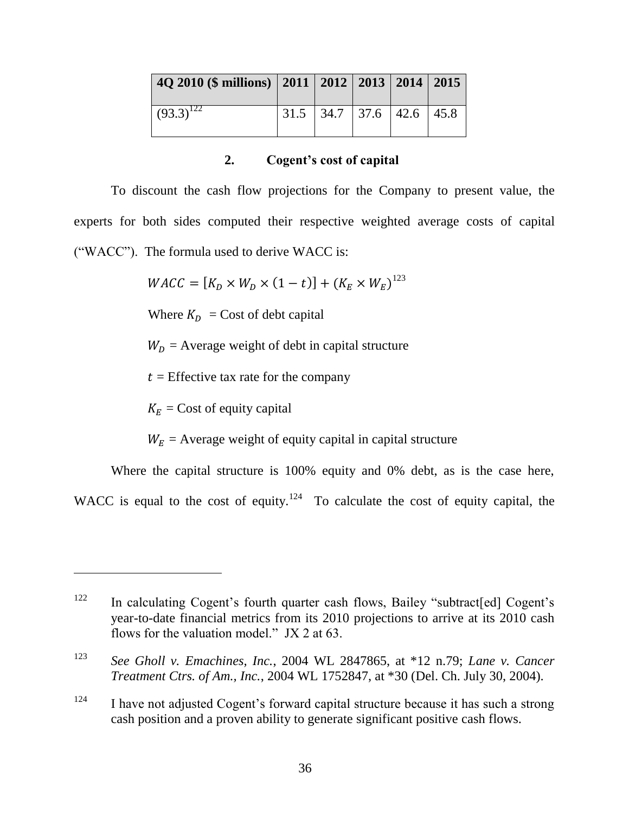| 4Q 2010 (\$ millions)   2011   2012   2013   2014   2015 |  |  |                                    |
|----------------------------------------------------------|--|--|------------------------------------|
| $(93.3)^{122}$                                           |  |  | $31.5$   34.7   37.6   42.6   45.8 |

### **2. Cogent's cost of capital**

To discount the cash flow projections for the Company to present value, the experts for both sides computed their respective weighted average costs of capital (―WACC‖). The formula used to derive WACC is:

 $WACC = [K_D \times W_D \times (1 - t)] + (K_E \times W_E)^{123}$ 

Where  $K_D$  = Cost of debt capital

 $W_D$  = Average weight of debt in capital structure

 $t =$  Effective tax rate for the company

 $K_F$  = Cost of equity capital

 $\overline{a}$ 

 $W_E$  = Average weight of equity capital in capital structure

Where the capital structure is 100% equity and 0% debt, as is the case here,

WACC is equal to the cost of equity.<sup>124</sup> To calculate the cost of equity capital, the

 $122$  In calculating Cogent's fourth quarter cash flows, Bailey "subtract[ed] Cogent's year-to-date financial metrics from its 2010 projections to arrive at its 2010 cash flows for the valuation model." JX 2 at  $63$ .

<sup>123</sup> *See Gholl v. Emachines, Inc.*, 2004 WL 2847865, at \*12 n.79; *Lane v. Cancer Treatment Ctrs. of Am., Inc.*, 2004 WL 1752847, at \*30 (Del. Ch. July 30, 2004).

<sup>&</sup>lt;sup>124</sup> I have not adjusted Cogent's forward capital structure because it has such a strong cash position and a proven ability to generate significant positive cash flows.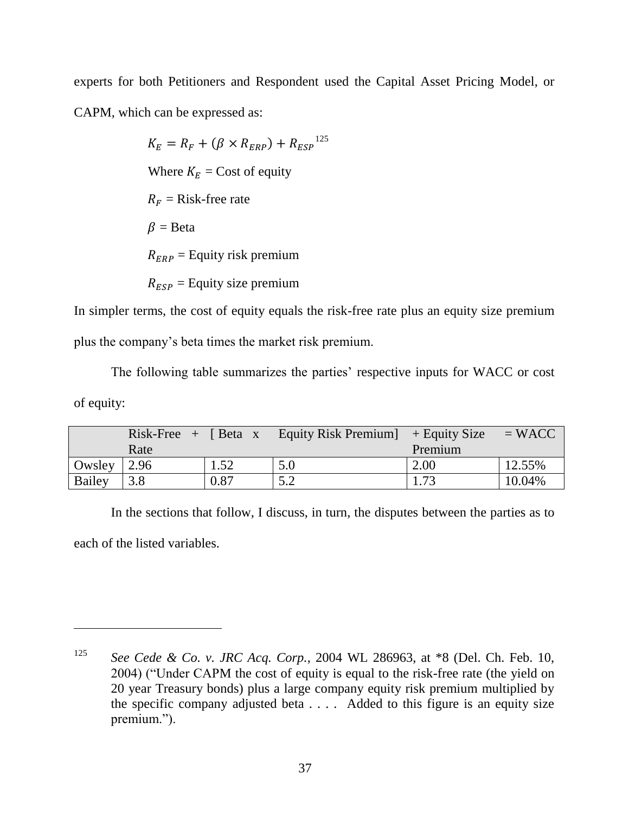experts for both Petitioners and Respondent used the Capital Asset Pricing Model, or CAPM, which can be expressed as:

> $K_E = R_F + (\beta \times R_{ERP}) + R_{ESP}^{125}$ Where  $K_E$  = Cost of equity  $R_F =$  Risk-free rate  $\beta = \text{Beta}$  $R_{ERP} =$  Equity risk premium  $R_{ESP}$  = Equity size premium

In simpler terms, the cost of equity equals the risk-free rate plus an equity size premium plus the company's beta times the market risk premium.

The following table summarizes the parties' respective inputs for WACC or cost of equity:

|        | $Risk\text{-}Free + [Beta x]$ |      | Equity Risk Premium $\rightarrow$ Equity Size |         | $= WACC$ |
|--------|-------------------------------|------|-----------------------------------------------|---------|----------|
|        | Rate                          |      |                                               | Premium |          |
| Owsley | 2.96                          | 1.52 | 5.0                                           | 2.00    | 12.55%   |
| Bailey | 3.8                           | 0.87 | 5.2                                           | 1.73    | 10.04%   |

In the sections that follow, I discuss, in turn, the disputes between the parties as to each of the listed variables.

<sup>125</sup> *See Cede & Co. v. JRC Acq. Corp.*, 2004 WL 286963, at \*8 (Del. Ch. Feb. 10, 2004) ("Under CAPM the cost of equity is equal to the risk-free rate (the yield on 20 year Treasury bonds) plus a large company equity risk premium multiplied by the specific company adjusted beta . . . . Added to this figure is an equity size premium.").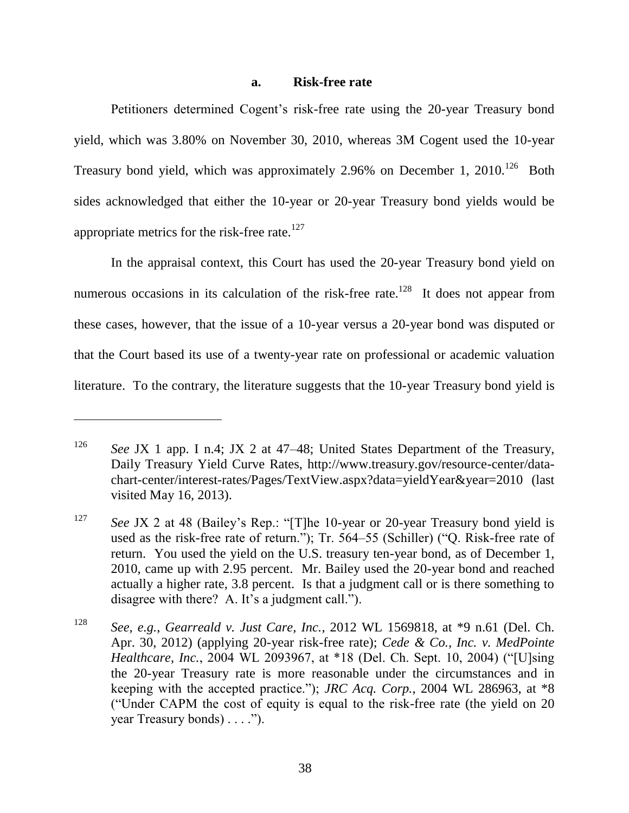#### **a. Risk-free rate**

Petitioners determined Cogent's risk-free rate using the 20-year Treasury bond yield, which was 3.80% on November 30, 2010, whereas 3M Cogent used the 10-year Treasury bond yield, which was approximately 2.96% on December 1, 2010.<sup>126</sup> Both sides acknowledged that either the 10-year or 20-year Treasury bond yields would be appropriate metrics for the risk-free rate.<sup>127</sup>

In the appraisal context, this Court has used the 20-year Treasury bond yield on numerous occasions in its calculation of the risk-free rate.<sup>128</sup> It does not appear from these cases, however, that the issue of a 10-year versus a 20-year bond was disputed or that the Court based its use of a twenty-year rate on professional or academic valuation literature. To the contrary, the literature suggests that the 10-year Treasury bond yield is

<sup>&</sup>lt;sup>126</sup> *See JX* 1 app. I n.4; JX 2 at 47–48; United States Department of the Treasury, Daily Treasury Yield Curve Rates, http://www.treasury.gov/resource-center/datachart-center/interest-rates/Pages/TextView.aspx?data=yieldYear&year=2010 (last visited May 16, 2013).

<sup>&</sup>lt;sup>127</sup> *See* JX 2 at 48 (Bailey's Rep.: "[T]he 10-year or 20-year Treasury bond yield is used as the risk-free rate of return."); Tr.  $564-55$  (Schiller) ( $°Q$ . Risk-free rate of return. You used the yield on the U.S. treasury ten-year bond, as of December 1, 2010, came up with 2.95 percent. Mr. Bailey used the 20-year bond and reached actually a higher rate, 3.8 percent. Is that a judgment call or is there something to disagree with there? A. It's a judgment call.").

<sup>128</sup> *See, e.g.*, *Gearreald v. Just Care, Inc.*, 2012 WL 1569818, at \*9 n.61 (Del. Ch. Apr. 30, 2012) (applying 20-year risk-free rate); *Cede & Co., Inc. v. MedPointe Healthcare, Inc.*, 2004 WL 2093967, at \*18 (Del. Ch. Sept. 10, 2004) ("[U]sing the 20-year Treasury rate is more reasonable under the circumstances and in keeping with the accepted practice."); *JRC Acq. Corp.*, 2004 WL 286963, at \*8 (―Under CAPM the cost of equity is equal to the risk-free rate (the yield on 20 year Treasury bonds) . . . .").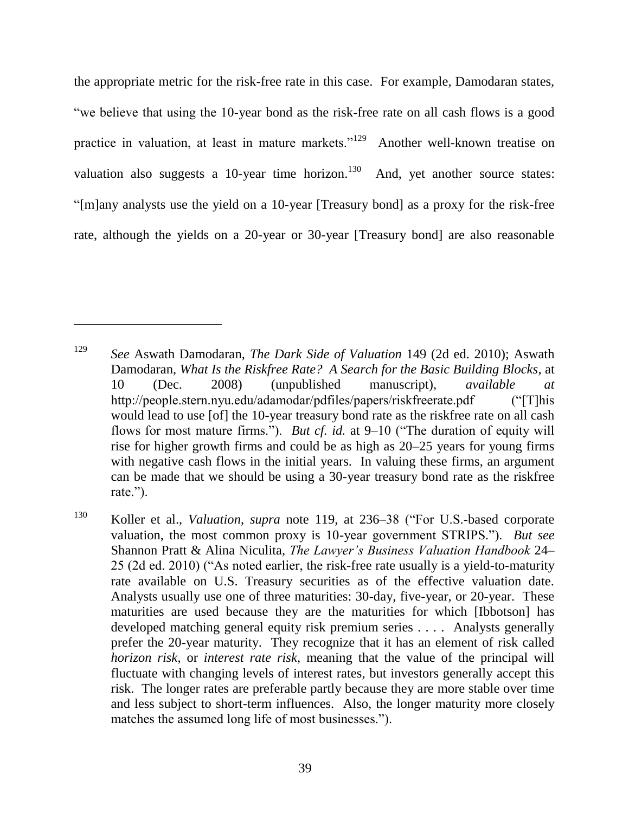the appropriate metric for the risk-free rate in this case. For example, Damodaran states, "we believe that using the 10-year bond as the risk-free rate on all cash flows is a good practice in valuation, at least in mature markets."<sup>129</sup> Another well-known treatise on valuation also suggests a 10-year time horizon.<sup>130</sup> And, yet another source states: "[m]any analysts use the yield on a 10-year [Treasury bond] as a proxy for the risk-free rate, although the yields on a 20-year or 30-year [Treasury bond] are also reasonable

<sup>129</sup> *See* Aswath Damodaran, *The Dark Side of Valuation* 149 (2d ed. 2010); Aswath Damodaran, *What Is the Riskfree Rate? A Search for the Basic Building Blocks*, at 10 (Dec. 2008) (unpublished manuscript), *available at* http://people.stern.nyu.edu/adamodar/pdfiles/papers/riskfreerate.pdf ("[T]his would lead to use [of] the 10-year treasury bond rate as the riskfree rate on all cash flows for most mature firms."). *But cf. id.* at 9–10 ("The duration of equity will rise for higher growth firms and could be as high as 20–25 years for young firms with negative cash flows in the initial years. In valuing these firms, an argument can be made that we should be using a 30-year treasury bond rate as the riskfree rate.").

<sup>&</sup>lt;sup>130</sup> Koller et al., *Valuation*, *supra* note [119,](#page-34-0) at 236–38 ("For U.S.-based corporate valuation, the most common proxy is 10-year government STRIPS."). *But see* Shannon Pratt & Alina Niculita, *The Lawyer's Business Valuation Handbook* 24–  $25$  (2d ed.  $2010$ ) ("As noted earlier, the risk-free rate usually is a yield-to-maturity rate available on U.S. Treasury securities as of the effective valuation date. Analysts usually use one of three maturities: 30-day, five-year, or 20-year. These maturities are used because they are the maturities for which [Ibbotson] has developed matching general equity risk premium series . . . . Analysts generally prefer the 20-year maturity. They recognize that it has an element of risk called *horizon risk*, or *interest rate risk*, meaning that the value of the principal will fluctuate with changing levels of interest rates, but investors generally accept this risk. The longer rates are preferable partly because they are more stable over time and less subject to short-term influences. Also, the longer maturity more closely matches the assumed long life of most businesses.").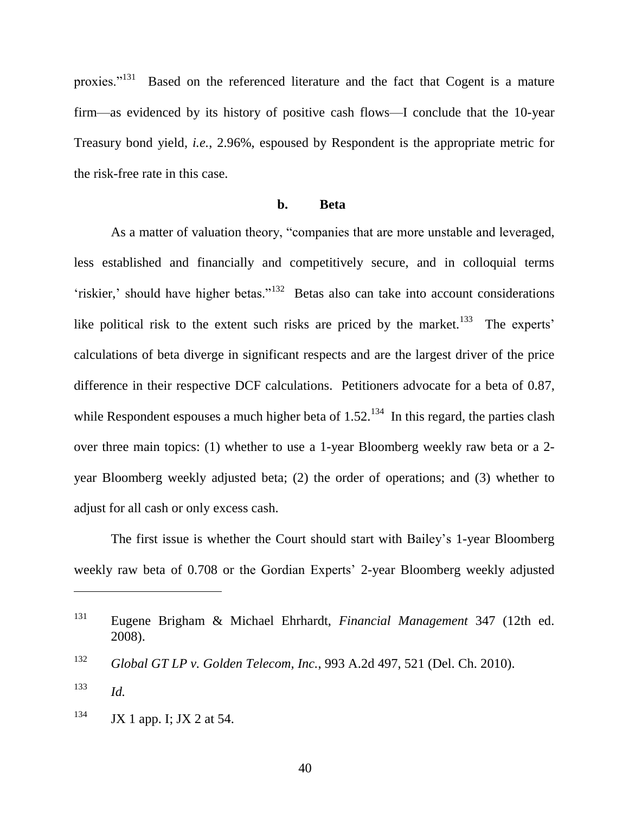proxies." $^{131}$  Based on the referenced literature and the fact that Cogent is a mature firm—as evidenced by its history of positive cash flows—I conclude that the 10-year Treasury bond yield, *i.e.*, 2.96%, espoused by Respondent is the appropriate metric for the risk-free rate in this case.

#### **b. Beta**

As a matter of valuation theory, "companies that are more unstable and leveraged, less established and financially and competitively secure, and in colloquial terms 'riskier,' should have higher betas."<sup>132</sup> Betas also can take into account considerations like political risk to the extent such risks are priced by the market.<sup>133</sup> The experts' calculations of beta diverge in significant respects and are the largest driver of the price difference in their respective DCF calculations. Petitioners advocate for a beta of 0.87, while Respondent espouses a much higher beta of  $1.52^{134}$  In this regard, the parties clash over three main topics: (1) whether to use a 1-year Bloomberg weekly raw beta or a 2 year Bloomberg weekly adjusted beta; (2) the order of operations; and (3) whether to adjust for all cash or only excess cash.

The first issue is whether the Court should start with Bailey's 1-year Bloomberg weekly raw beta of 0.708 or the Gordian Experts' 2-year Bloomberg weekly adjusted

<sup>131</sup> Eugene Brigham & Michael Ehrhardt, *Financial Management* 347 (12th ed. 2008).

<sup>132</sup> *Global GT LP v. Golden Telecom, Inc.*, 993 A.2d 497, 521 (Del. Ch. 2010).

<sup>133</sup> *Id.*

 $134$  JX 1 app. I; JX 2 at 54.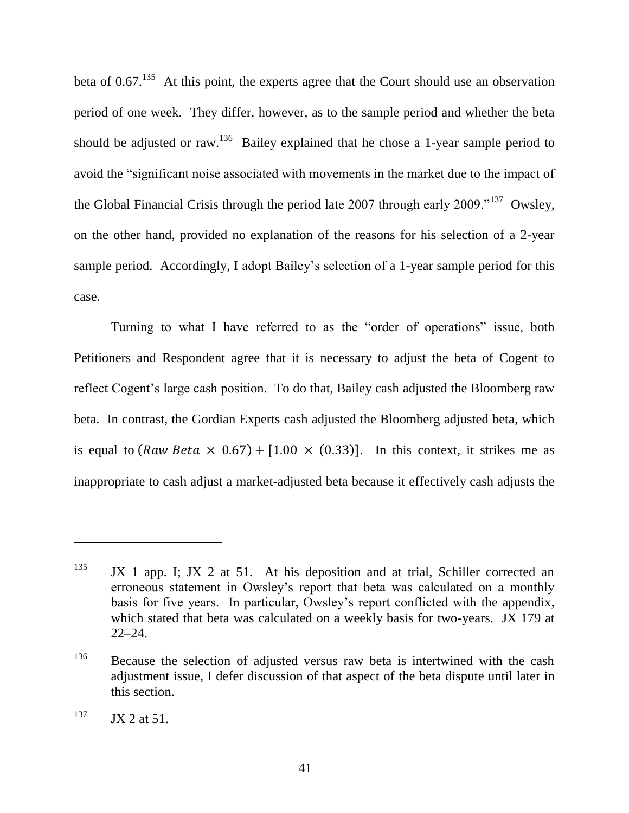beta of  $0.67$ .<sup>135</sup> At this point, the experts agree that the Court should use an observation period of one week. They differ, however, as to the sample period and whether the beta should be adjusted or raw.<sup>136</sup> Bailey explained that he chose a 1-year sample period to avoid the "significant noise associated with movements in the market due to the impact of the Global Financial Crisis through the period late 2007 through early 2009. $137$  Owsley, on the other hand, provided no explanation of the reasons for his selection of a 2-year sample period. Accordingly, I adopt Bailey's selection of a 1-year sample period for this case.

Turning to what I have referred to as the "order of operations" issue, both Petitioners and Respondent agree that it is necessary to adjust the beta of Cogent to reflect Cogent's large cash position. To do that, Bailey cash adjusted the Bloomberg raw beta. In contrast, the Gordian Experts cash adjusted the Bloomberg adjusted beta, which is equal to  $(Raw Beta \times 0.67) + [1.00 \times (0.33)]$ . In this context, it strikes me as inappropriate to cash adjust a market-adjusted beta because it effectively cash adjusts the

 $135$  JX 1 app. I; JX 2 at 51. At his deposition and at trial, Schiller corrected an erroneous statement in Owsley's report that beta was calculated on a monthly basis for five years. In particular, Owsley's report conflicted with the appendix, which stated that beta was calculated on a weekly basis for two-years. JX 179 at 22–24.

<sup>&</sup>lt;sup>136</sup> Because the selection of adjusted versus raw beta is intertwined with the cash adjustment issue, I defer discussion of that aspect of the beta dispute until later in this section.

 $137$  JX 2 at 51.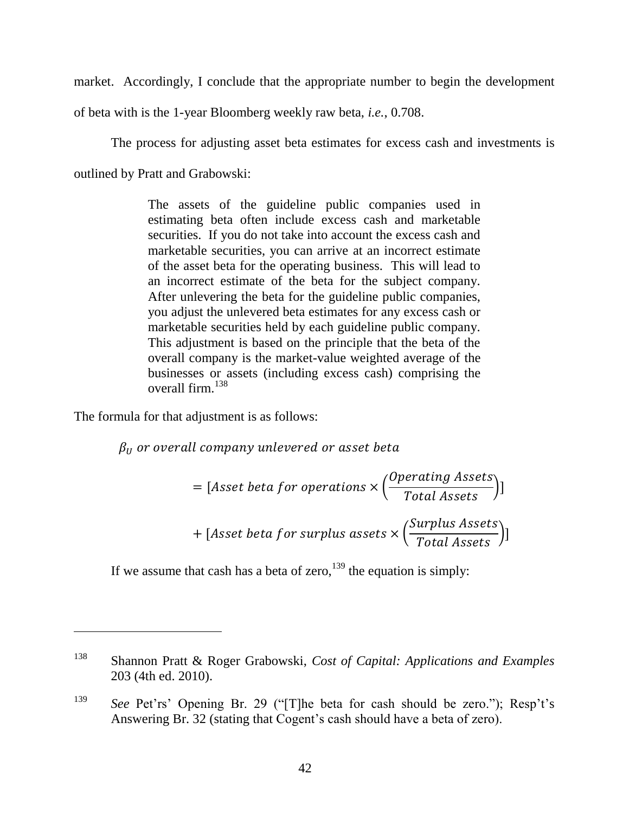market. Accordingly, I conclude that the appropriate number to begin the development

of beta with is the 1-year Bloomberg weekly raw beta, *i.e.*, 0.708.

The process for adjusting asset beta estimates for excess cash and investments is

outlined by Pratt and Grabowski:

The assets of the guideline public companies used in estimating beta often include excess cash and marketable securities. If you do not take into account the excess cash and marketable securities, you can arrive at an incorrect estimate of the asset beta for the operating business. This will lead to an incorrect estimate of the beta for the subject company. After unlevering the beta for the guideline public companies, you adjust the unlevered beta estimates for any excess cash or marketable securities held by each guideline public company. This adjustment is based on the principle that the beta of the overall company is the market-value weighted average of the businesses or assets (including excess cash) comprising the overall firm  $^{138}$ 

The formula for that adjustment is as follows:

 $\beta_{II}$  or overall company unlevered or asset beta

<span id="page-42-0"></span>
$$
= [A \text{sset beta for operations} \times \left(\frac{Operating \text{ Assets}}{Total \text{ Assets}}\right)]
$$

$$
+ [A \text{sset beta for surplus assets} \times \left(\frac{Surplus \text{ Assets}}{Total \text{ Assets}}\right)]
$$

If we assume that cash has a beta of zero,  $139$  the equation is simply:

<sup>138</sup> Shannon Pratt & Roger Grabowski, *Cost of Capital: Applications and Examples* 203 (4th ed. 2010).

<sup>&</sup>lt;sup>139</sup> *See* Pet'rs' Opening Br. 29 ("The beta for cash should be zero."); Resp't's Answering Br. 32 (stating that Cogent's cash should have a beta of zero).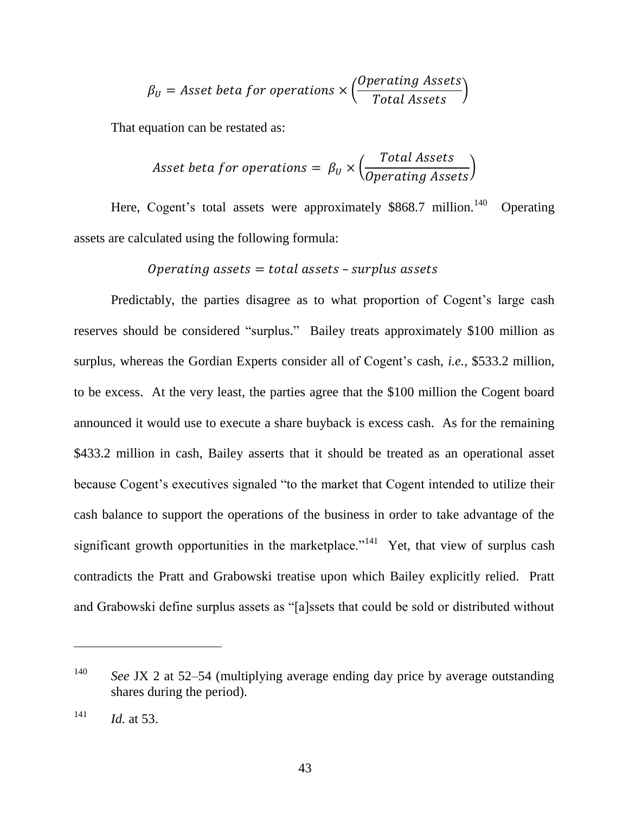$$
\beta_U = \text{Asset beta for operations} \times \left(\frac{\text{Operating Assets}}{\text{Total Assets}}\right)
$$

That equation can be restated as:

*Asset beta for operations* = 
$$
\beta_U \times \left(\frac{Total Assets}{Operating Assets}\right)
$$

Here, Cogent's total assets were approximately  $$868.7$  million.<sup>140</sup> **Operating** assets are calculated using the following formula:

#### Operating assets  $=$  total assets  $-$  surplus assets

Predictably, the parties disagree as to what proportion of Cogent's large cash reserves should be considered "surplus." Bailey treats approximately \$100 million as surplus, whereas the Gordian Experts consider all of Cogent's cash, *i.e.*, \$533.2 million, to be excess. At the very least, the parties agree that the \$100 million the Cogent board announced it would use to execute a share buyback is excess cash. As for the remaining \$433.2 million in cash, Bailey asserts that it should be treated as an operational asset because Cogent's executives signaled "to the market that Cogent intended to utilize their cash balance to support the operations of the business in order to take advantage of the significant growth opportunities in the marketplace."<sup>141</sup> Yet, that view of surplus cash contradicts the Pratt and Grabowski treatise upon which Bailey explicitly relied. Pratt and Grabowski define surplus assets as "[a]ssets that could be sold or distributed without

<sup>140</sup> *See* JX 2 at 52–54 (multiplying average ending day price by average outstanding shares during the period).

 $141$  *Id.* at 53.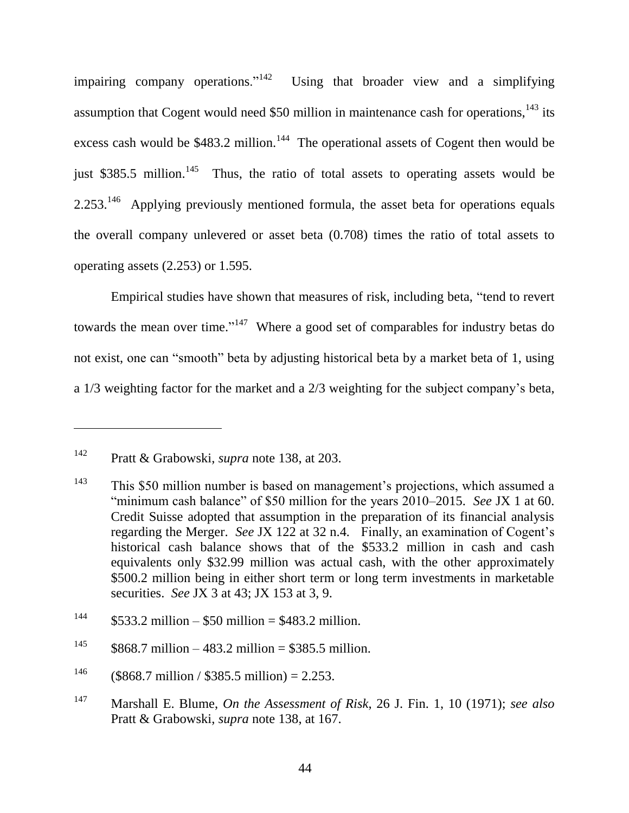impairing company operations."<sup>142</sup> Using that broader view and a simplifying assumption that Cogent would need \$50 million in maintenance cash for operations,  $143$  its excess cash would be \$483.2 million.<sup>144</sup> The operational assets of Cogent then would be just \$385.5 million.<sup>145</sup> Thus, the ratio of total assets to operating assets would be  $2.253$ .<sup>146</sup> Applying previously mentioned formula, the asset beta for operations equals the overall company unlevered or asset beta (0.708) times the ratio of total assets to operating assets (2.253) or 1.595.

Empirical studies have shown that measures of risk, including beta, "tend to revert towards the mean over time."<sup>147</sup> Where a good set of comparables for industry betas do not exist, one can "smooth" beta by adjusting historical beta by a market beta of 1, using a 1/3 weighting factor for the market and a 2/3 weighting for the subject company's beta,

<sup>142</sup> Pratt & Grabowski, *supra* note [138,](#page-42-0) at 203.

<sup>143</sup> This \$50 million number is based on management's projections, which assumed a "minimum cash balance" of \$50 million for the years 2010–2015. *See JX* 1 at 60. Credit Suisse adopted that assumption in the preparation of its financial analysis regarding the Merger. *See* JX 122 at 32 n.4*.* Finally, an examination of Cogent's historical cash balance shows that of the \$533.2 million in cash and cash equivalents only \$32.99 million was actual cash, with the other approximately \$500.2 million being in either short term or long term investments in marketable securities. *See* JX 3 at 43; JX 153 at 3, 9.

 $144$  \$533.2 million – \$50 million = \$483.2 million.

 $145$  \$868.7 million – 483.2 million = \$385.5 million.

<sup>&</sup>lt;sup>146</sup> (\$868.7 million / \$385.5 million) = 2.253.

<sup>147</sup> Marshall E. Blume, *On the Assessment of Risk*, 26 J. Fin. 1, 10 (1971); *see also* Pratt & Grabowski, *supra* note [138,](#page-42-0) at 167.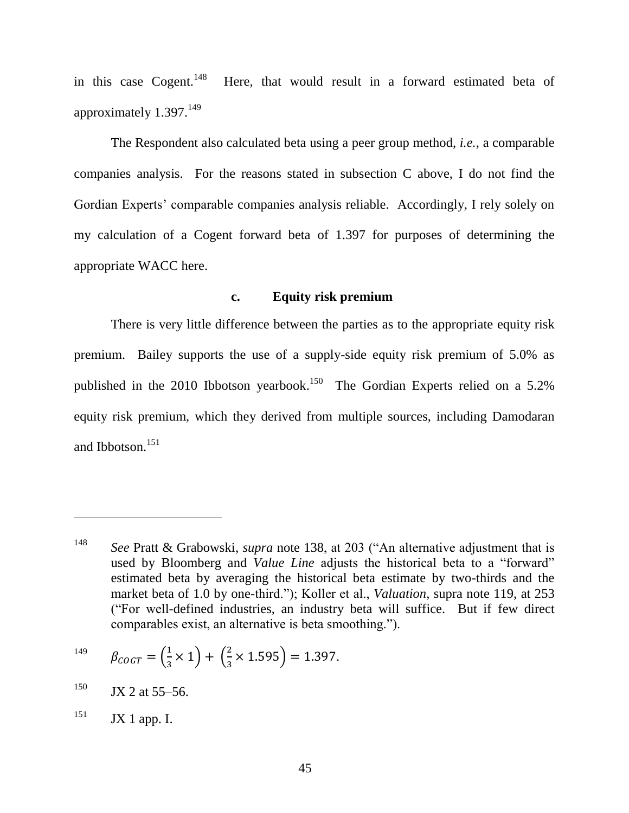in this case Cogent.<sup>148</sup> Here, that would result in a forward estimated beta of approximately 1.397.<sup>149</sup>

The Respondent also calculated beta using a peer group method, *i.e.*, a comparable companies analysis. For the reasons stated in subsection [C](#page-13-0) above, I do not find the Gordian Experts' comparable companies analysis reliable. Accordingly, I rely solely on my calculation of a Cogent forward beta of 1.397 for purposes of determining the appropriate WACC here.

## **c. Equity risk premium**

There is very little difference between the parties as to the appropriate equity risk premium. Bailey supports the use of a supply-side equity risk premium of 5.0% as published in the 2010 Ibbotson yearbook.<sup>150</sup> The Gordian Experts relied on a 5.2% equity risk premium, which they derived from multiple sources, including Damodaran and Ibbotson. 151

$$
^{149} \qquad \beta_{COGT} = \left(\frac{1}{3} \times 1\right) + \left(\frac{2}{3} \times 1.595\right) = 1.397.
$$

 $150$  JX 2 at 55–56.

<sup>&</sup>lt;sup>148</sup> *See Pratt & Grabowski, <i>supra* note [138,](#page-42-0) at 203 ("An alternative adjustment that is used by Bloomberg and *Value Line* adjusts the historical beta to a "forward" estimated beta by averaging the historical beta estimate by two-thirds and the market beta of 1.0 by one-third."); Koller et al., *Valuation*, supra note [119,](#page-34-0) at 253 (―For well-defined industries, an industry beta will suffice. But if few direct comparables exist, an alternative is beta smoothing.").

 $151$  JX 1 app. I.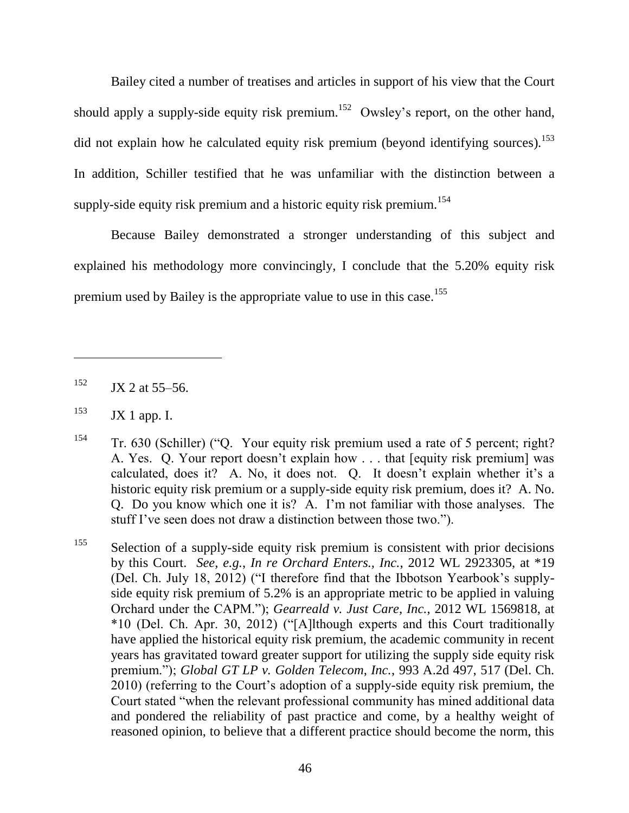Bailey cited a number of treatises and articles in support of his view that the Court should apply a supply-side equity risk premium.<sup>152</sup> Owsley's report, on the other hand, did not explain how he calculated equity risk premium (beyond identifying sources).<sup>153</sup> In addition, Schiller testified that he was unfamiliar with the distinction between a supply-side equity risk premium and a historic equity risk premium.<sup>154</sup>

Because Bailey demonstrated a stronger understanding of this subject and explained his methodology more convincingly, I conclude that the 5.20% equity risk premium used by Bailey is the appropriate value to use in this case.<sup>155</sup>

 $152$  JX 2 at 55–56.

 $153$  JX 1 app. I.

<sup>&</sup>lt;sup>154</sup> Tr. 630 (Schiller) ( $^{\circ}$ Q. Your equity risk premium used a rate of 5 percent; right? A. Yes. Q. Your report doesn't explain how . . . that [equity risk premium] was calculated, does it? A. No, it does not. Q. It doesn't explain whether it's a historic equity risk premium or a supply-side equity risk premium, does it? A. No. Q. Do you know which one it is? A. I'm not familiar with those analyses. The stuff I've seen does not draw a distinction between those two.").

<sup>&</sup>lt;sup>155</sup> Selection of a supply-side equity risk premium is consistent with prior decisions by this Court. *See, e.g.*, *In re Orchard Enters., Inc.*, 2012 WL 2923305, at \*19 (Del. Ch. July 18, 2012) ( $\degree$ I therefore find that the Ibbotson Yearbook's supplyside equity risk premium of 5.2% is an appropriate metric to be applied in valuing Orchard under the CAPM.‖); *Gearreald v. Just Care, Inc.*, 2012 WL 1569818, at  $*10$  (Del. Ch. Apr. 30, 2012) ("[A]lthough experts and this Court traditionally have applied the historical equity risk premium, the academic community in recent years has gravitated toward greater support for utilizing the supply side equity risk premium.‖); *Global GT LP v. Golden Telecom, Inc.*, 993 A.2d 497, 517 (Del. Ch. 2010) (referring to the Court's adoption of a supply-side equity risk premium, the Court stated "when the relevant professional community has mined additional data and pondered the reliability of past practice and come, by a healthy weight of reasoned opinion, to believe that a different practice should become the norm, this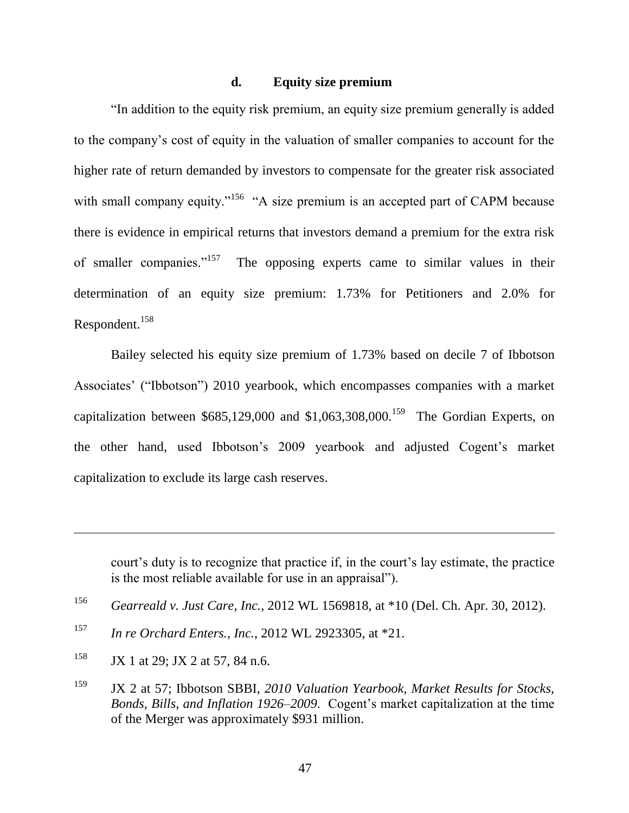#### **d. Equity size premium**

<span id="page-47-0"></span>―In addition to the equity risk premium, an equity size premium generally is added to the company's cost of equity in the valuation of smaller companies to account for the higher rate of return demanded by investors to compensate for the greater risk associated with small company equity."<sup>156</sup> "A size premium is an accepted part of CAPM because there is evidence in empirical returns that investors demand a premium for the extra risk of smaller companies."<sup>157</sup> The opposing experts came to similar values in their determination of an equity size premium: 1.73% for Petitioners and 2.0% for Respondent.<sup>158</sup>

Bailey selected his equity size premium of 1.73% based on decile 7 of Ibbotson Associates' ("Ibbotson") 2010 yearbook, which encompasses companies with a market capitalization between  $$685,129,000$  and  $$1,063,308,000$ .<sup>159</sup> The Gordian Experts, on the other hand, used Ibbotson's 2009 yearbook and adjusted Cogent's market capitalization to exclude its large cash reserves.

court's duty is to recognize that practice if, in the court's lay estimate, the practice is the most reliable available for use in an appraisal").

- <sup>157</sup> *In re Orchard Enters., Inc.*, 2012 WL 2923305, at \*21.
- $158$  JX 1 at 29; JX 2 at 57, 84 n.6.

 $\overline{a}$ 

<sup>159</sup> JX 2 at 57; Ibbotson SBBI, *2010 Valuation Yearbook, Market Results for Stocks, Bonds, Bills, and Inflation 1926–2009*. Cogent's market capitalization at the time of the Merger was approximately \$931 million.

<sup>156</sup> *Gearreald v. Just Care, Inc.*, 2012 WL 1569818, at \*10 (Del. Ch. Apr. 30, 2012).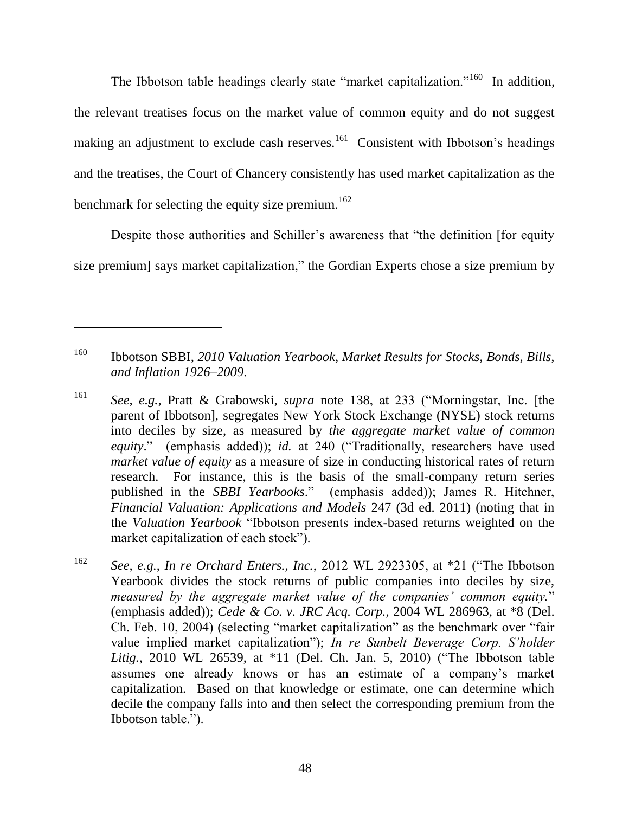The Ibbotson table headings clearly state "market capitalization."<sup>160</sup> In addition, the relevant treatises focus on the market value of common equity and do not suggest making an adjustment to exclude cash reserves. $161$  Consistent with Ibbotson's headings and the treatises, the Court of Chancery consistently has used market capitalization as the benchmark for selecting the equity size premium.<sup>162</sup>

Despite those authorities and Schiller's awareness that "the definition [for equity size premium] says market capitalization," the Gordian Experts chose a size premium by

<sup>160</sup> Ibbotson SBBI, *2010 Valuation Yearbook, Market Results for Stocks, Bonds, Bills, and Inflation 1926–2009*.

<sup>&</sup>lt;sup>161</sup> *See, e.g.*, Pratt & Grabowski, *supra* note [138,](#page-42-0) at 233 ("Morningstar, Inc. [the parent of Ibbotson], segregates New York Stock Exchange (NYSE) stock returns into deciles by size, as measured by *the aggregate market value of common equity*." (emphasis added)); *id.* at 240 ("Traditionally, researchers have used *market value of equity* as a measure of size in conducting historical rates of return research. For instance, this is the basis of the small-company return series published in the *SBBI Yearbooks*." (emphasis added)); James R. Hitchner, *Financial Valuation: Applications and Models* 247 (3d ed. 2011) (noting that in the *Valuation Yearbook* "Ibbotson presents index-based returns weighted on the market capitalization of each stock").

<sup>&</sup>lt;sup>162</sup> *See, e.g., In re Orchard Enters., Inc.,* 2012 WL 2923305, at  $*21$  ("The Ibbotson Yearbook divides the stock returns of public companies into deciles by size, *measured by the aggregate market value of the companies' common equity.*" (emphasis added)); *Cede & Co. v. JRC Acq. Corp.*, 2004 WL 286963, at \*8 (Del. Ch. Feb. 10, 2004) (selecting "market capitalization" as the benchmark over "fair value implied market capitalization"); *In re Sunbelt Beverage Corp. S'holder Litig.*, 2010 WL 26539, at \*11 (Del. Ch. Jan. 5, 2010) ("The Ibbotson table assumes one already knows or has an estimate of a company's market capitalization. Based on that knowledge or estimate, one can determine which decile the company falls into and then select the corresponding premium from the Ibbotson table.").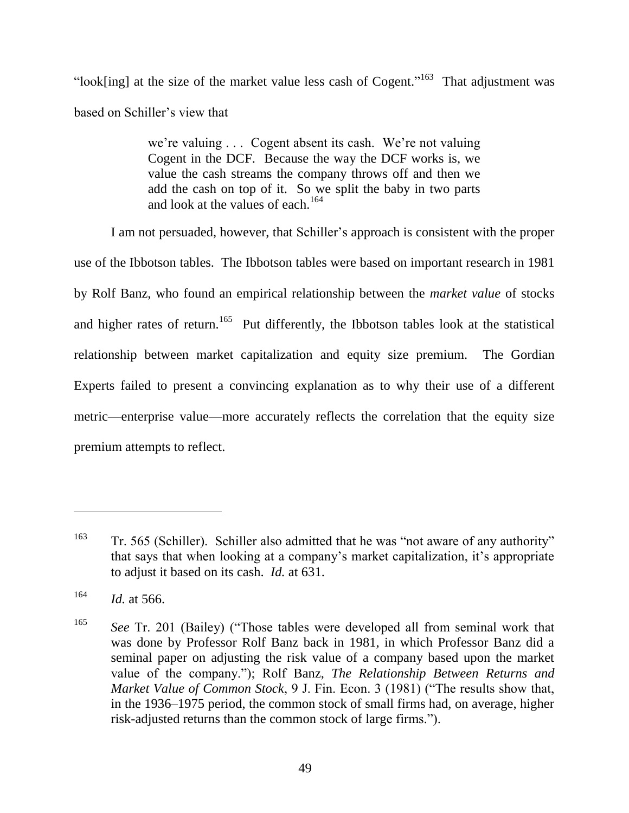"look[ing] at the size of the market value less cash of Cogent."<sup>163</sup> That adjustment was based on Schiller's view that

> we're valuing . . . Cogent absent its cash. We're not valuing Cogent in the DCF. Because the way the DCF works is, we value the cash streams the company throws off and then we add the cash on top of it. So we split the baby in two parts and look at the values of each.<sup>164</sup>

I am not persuaded, however, that Schiller's approach is consistent with the proper use of the Ibbotson tables. The Ibbotson tables were based on important research in 1981 by Rolf Banz, who found an empirical relationship between the *market value* of stocks and higher rates of return.<sup>165</sup> Put differently, the Ibbotson tables look at the statistical relationship between market capitalization and equity size premium. The Gordian Experts failed to present a convincing explanation as to why their use of a different metric—enterprise value—more accurately reflects the correlation that the equity size premium attempts to reflect.

<sup>&</sup>lt;sup>163</sup> Tr. 565 (Schiller). Schiller also admitted that he was "not aware of any authority" that says that when looking at a company's market capitalization, it's appropriate to adjust it based on its cash. *Id.* at 631.

 $164$  *Id.* at 566.

<sup>&</sup>lt;sup>165</sup> *See Tr.* 201 (Bailey) ("Those tables were developed all from seminal work that was done by Professor Rolf Banz back in 1981, in which Professor Banz did a seminal paper on adjusting the risk value of a company based upon the market value of the company.‖); Rolf Banz, *The Relationship Between Returns and Market Value of Common Stock*, 9 J. Fin. Econ. 3 (1981) ("The results show that, in the 1936–1975 period, the common stock of small firms had, on average, higher risk-adjusted returns than the common stock of large firms.").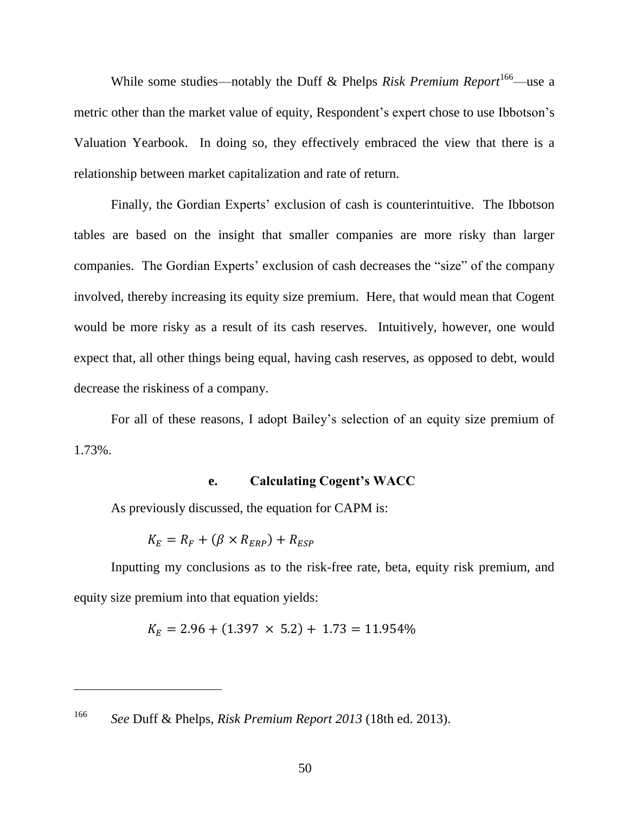While some studies—notably the Duff & Phelps *Risk Premium Report*<sup>166</sup>—use a metric other than the market value of equity, Respondent's expert chose to use Ibbotson's Valuation Yearbook. In doing so, they effectively embraced the view that there is a relationship between market capitalization and rate of return.

Finally, the Gordian Experts' exclusion of cash is counterintuitive. The Ibbotson tables are based on the insight that smaller companies are more risky than larger companies. The Gordian Experts' exclusion of cash decreases the "size" of the company involved, thereby increasing its equity size premium. Here, that would mean that Cogent would be more risky as a result of its cash reserves. Intuitively, however, one would expect that, all other things being equal, having cash reserves, as opposed to debt, would decrease the riskiness of a company.

For all of these reasons, I adopt Bailey's selection of an equity size premium of 1.73%.

## **e. Calculating Cogent's WACC**

As previously discussed, the equation for CAPM is:

$$
K_E = R_F + (\beta \times R_{ERP}) + R_{ESP}
$$

 $\overline{a}$ 

Inputting my conclusions as to the risk-free rate, beta, equity risk premium, and equity size premium into that equation yields:

$$
K_E = 2.96 + (1.397 \times 5.2) + 1.73 = 11.954\%
$$

<sup>166</sup> *See* Duff & Phelps, *Risk Premium Report 2013* (18th ed. 2013).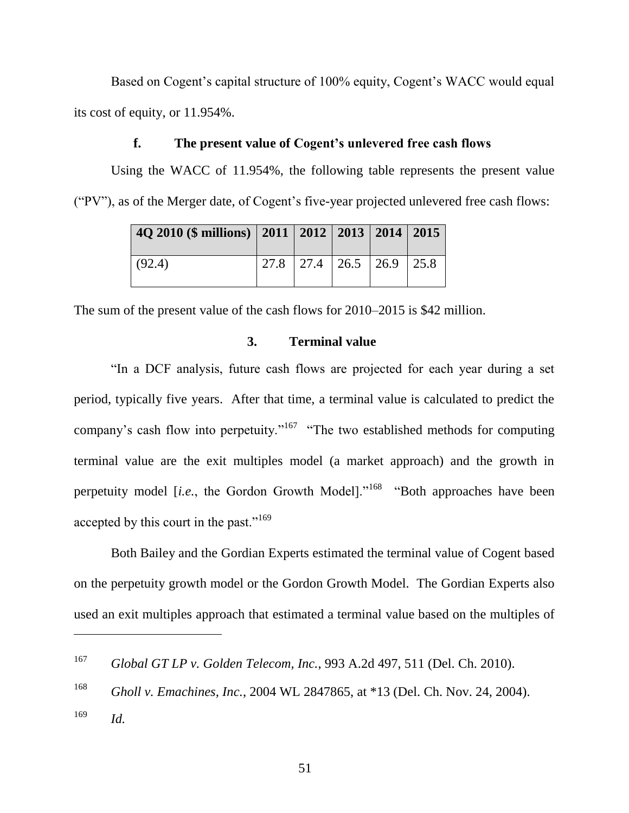Based on Cogent's capital structure of 100% equity, Cogent's WACC would equal its cost of equity, or 11.954%.

## **f. The present value of Cogent's unlevered free cash flows**

Using the WACC of 11.954%, the following table represents the present value (―PV‖), as of the Merger date, of Cogent's five-year projected unlevered free cash flows:

| 4Q 2010 (\$ millions)   2011   2012   2013   2014   2015 |  |                                    |  |
|----------------------------------------------------------|--|------------------------------------|--|
| (92.4)                                                   |  | $27.8$   27.4   26.5   26.9   25.8 |  |

The sum of the present value of the cash flows for 2010–2015 is \$42 million.

## **3. Terminal value**

―In a DCF analysis, future cash flows are projected for each year during a set period, typically five years. After that time, a terminal value is calculated to predict the company's cash flow into perpetuity."<sup>167</sup> "The two established methods for computing terminal value are the exit multiples model (a market approach) and the growth in perpetuity model [*i.e.*, the Gordon Growth Model]."<sup>168</sup> "Both approaches have been accepted by this court in the past." $169$ 

Both Bailey and the Gordian Experts estimated the terminal value of Cogent based on the perpetuity growth model or the Gordon Growth Model. The Gordian Experts also used an exit multiples approach that estimated a terminal value based on the multiples of

<sup>169</sup> *Id.*

<sup>167</sup> *Global GT LP v. Golden Telecom, Inc.*, 993 A.2d 497, 511 (Del. Ch. 2010).

<sup>168</sup> *Gholl v. Emachines, Inc.*, 2004 WL 2847865, at \*13 (Del. Ch. Nov. 24, 2004).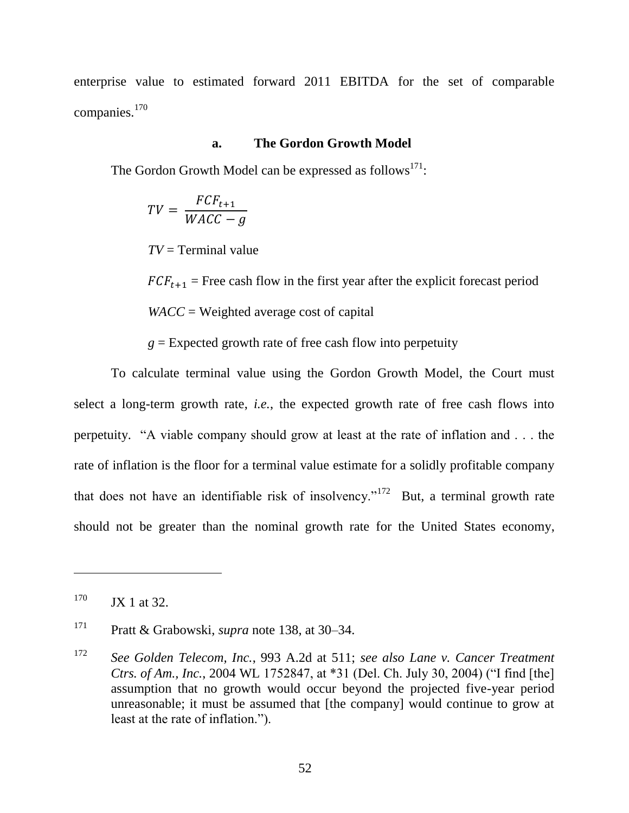enterprise value to estimated forward 2011 EBITDA for the set of comparable companies. 170

### **a. The Gordon Growth Model**

The Gordon Growth Model can be expressed as follows $^{171}$ :

$$
TV = \frac{FCF_{t+1}}{WACC - g}
$$

*TV* = Terminal value

 $FCF_{t+1}$  = Free cash flow in the first year after the explicit forecast period

*WACC* = Weighted average cost of capital

 $g =$  Expected growth rate of free cash flow into perpetuity

To calculate terminal value using the Gordon Growth Model, the Court must select a long-term growth rate, *i.e.*, the expected growth rate of free cash flows into perpetuity. ―A viable company should grow at least at the rate of inflation and . . . the rate of inflation is the floor for a terminal value estimate for a solidly profitable company that does not have an identifiable risk of insolvency."<sup>172</sup> But, a terminal growth rate should not be greater than the nominal growth rate for the United States economy,

 $170$  JX 1 at 32.

 $\overline{a}$ 

<sup>171</sup> Pratt & Grabowski, *supra* note [138,](#page-42-0) at 30–34.

<sup>172</sup> *See Golden Telecom, Inc.*, 993 A.2d at 511; *see also Lane v. Cancer Treatment Ctrs. of Am., Inc., 2004 WL 1752847, at* \*31 (Del. Ch. July 30, 2004) ("I find [the] assumption that no growth would occur beyond the projected five-year period unreasonable; it must be assumed that [the company] would continue to grow at least at the rate of inflation.").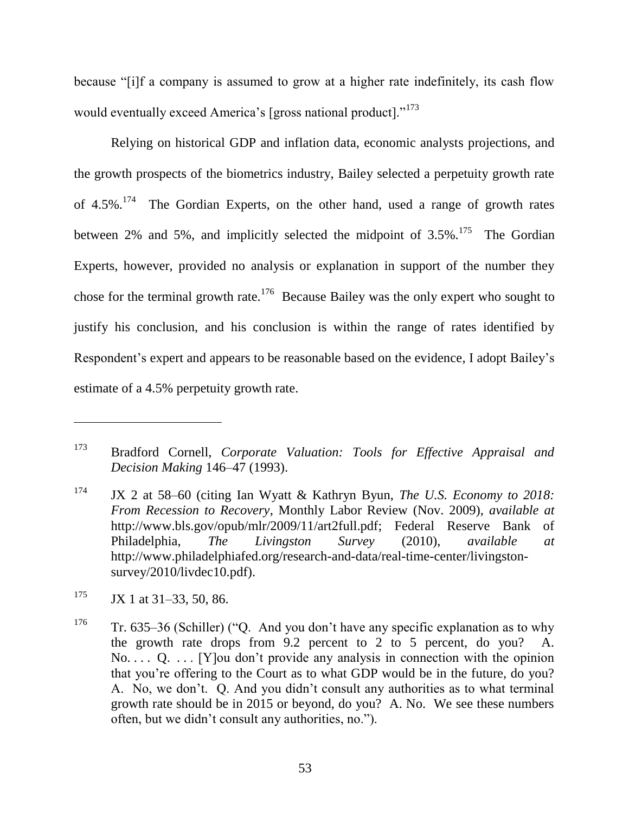because "[i]f a company is assumed to grow at a higher rate indefinitely, its cash flow would eventually exceed America's [gross national product]."<sup>173</sup>

Relying on historical GDP and inflation data, economic analysts projections, and the growth prospects of the biometrics industry, Bailey selected a perpetuity growth rate of 4.5%.<sup>174</sup> The Gordian Experts, on the other hand, used a range of growth rates between 2% and 5%, and implicitly selected the midpoint of  $3.5\%$ .<sup>175</sup> The Gordian Experts, however, provided no analysis or explanation in support of the number they chose for the terminal growth rate.<sup>176</sup> Because Bailey was the only expert who sought to justify his conclusion, and his conclusion is within the range of rates identified by Respondent's expert and appears to be reasonable based on the evidence, I adopt Bailey's estimate of a 4.5% perpetuity growth rate.

<sup>173</sup> Bradford Cornell, *Corporate Valuation: Tools for Effective Appraisal and Decision Making* 146–47 (1993).

<sup>174</sup> JX 2 at 58–60 (citing Ian Wyatt & Kathryn Byun, *The U.S. Economy to 2018: From Recession to Recovery*, Monthly Labor Review (Nov. 2009), *available at* http://www.bls.gov/opub/mlr/2009/11/art2full.pdf; Federal Reserve Bank of Philadelphia, *The Livingston Survey* (2010), *available at* http://www.philadelphiafed.org/research-and-data/real-time-center/livingstonsurvey/2010/livdec10.pdf).

 $175$  JX 1 at 31–33, 50, 86.

<sup>&</sup>lt;sup>176</sup> Tr. 635–36 (Schiller) ( $\degree$ O. And you don't have any specific explanation as to why the growth rate drops from  $9.2$  percent to 2 to 5 percent, do you?  $No. \ldots$  Q.  $\ldots$  [Y] ou don't provide any analysis in connection with the opinion that you're offering to the Court as to what GDP would be in the future, do you? A. No, we don't. Q. And you didn't consult any authorities as to what terminal growth rate should be in 2015 or beyond, do you? A. No. We see these numbers often, but we didn't consult any authorities, no.").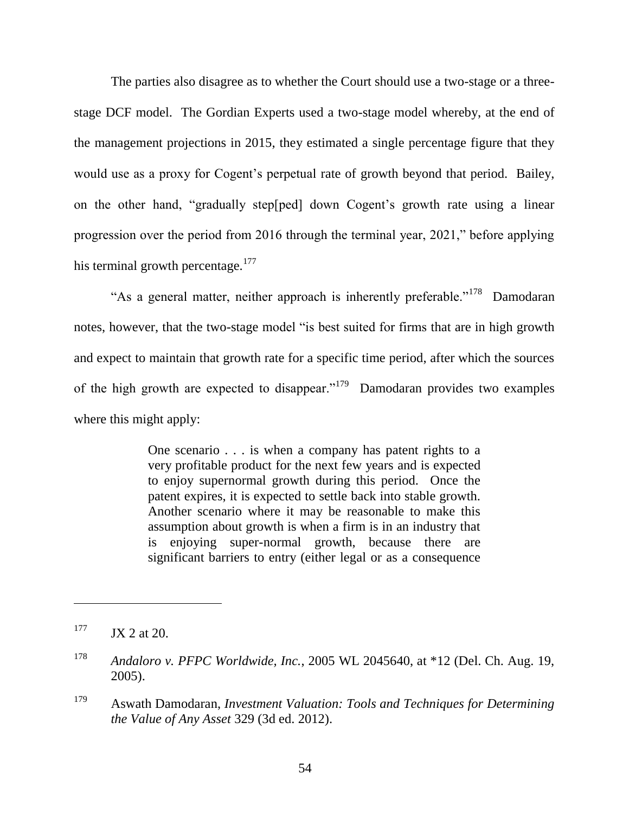The parties also disagree as to whether the Court should use a two-stage or a threestage DCF model. The Gordian Experts used a two-stage model whereby, at the end of the management projections in 2015, they estimated a single percentage figure that they would use as a proxy for Cogent's perpetual rate of growth beyond that period. Bailey, on the other hand, "gradually step[ped] down Cogent's growth rate using a linear progression over the period from 2016 through the terminal year, 2021," before applying his terminal growth percentage. $177$ 

"As a general matter, neither approach is inherently preferable."<sup>178</sup> Damodaran notes, however, that the two-stage model "is best suited for firms that are in high growth and expect to maintain that growth rate for a specific time period, after which the sources of the high growth are expected to disappear."<sup>179</sup> Damodaran provides two examples where this might apply:

> One scenario . . . is when a company has patent rights to a very profitable product for the next few years and is expected to enjoy supernormal growth during this period. Once the patent expires, it is expected to settle back into stable growth. Another scenario where it may be reasonable to make this assumption about growth is when a firm is in an industry that is enjoying super-normal growth, because there are significant barriers to entry (either legal or as a consequence

 $177$  JX 2 at 20.

<sup>178</sup> *Andaloro v. PFPC Worldwide, Inc.*, 2005 WL 2045640, at \*12 (Del. Ch. Aug. 19, 2005).

<sup>179</sup> Aswath Damodaran, *Investment Valuation: Tools and Techniques for Determining the Value of Any Asset* 329 (3d ed. 2012).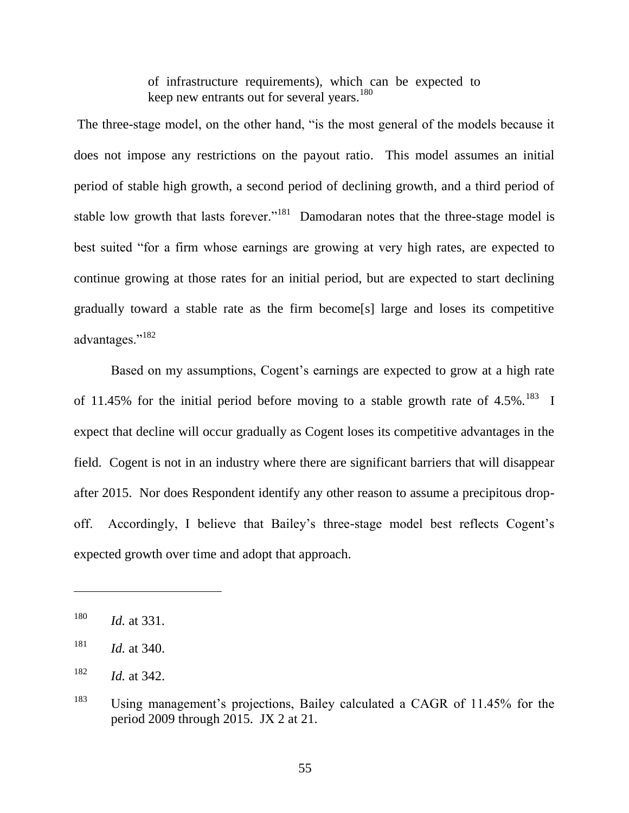of infrastructure requirements), which can be expected to keep new entrants out for several years.<sup>180</sup>

The three-stage model, on the other hand, "is the most general of the models because it does not impose any restrictions on the payout ratio. This model assumes an initial period of stable high growth, a second period of declining growth, and a third period of stable low growth that lasts forever."<sup>181</sup> Damodaran notes that the three-stage model is best suited "for a firm whose earnings are growing at very high rates, are expected to continue growing at those rates for an initial period, but are expected to start declining gradually toward a stable rate as the firm become[s] large and loses its competitive advantages."<sup>182</sup>

Based on my assumptions, Cogent's earnings are expected to grow at a high rate of 11.45% for the initial period before moving to a stable growth rate of  $4.5\%$ .<sup>183</sup> I expect that decline will occur gradually as Cogent loses its competitive advantages in the field. Cogent is not in an industry where there are significant barriers that will disappear after 2015. Nor does Respondent identify any other reason to assume a precipitous dropoff. Accordingly, I believe that Bailey's three-stage model best reflects Cogent's expected growth over time and adopt that approach.

<sup>180</sup> *Id.* at 331.

<sup>181</sup> *Id.* at 340.

<sup>182</sup> *Id.* at 342.

<sup>183</sup> Using management's projections, Bailey calculated a CAGR of 11.45% for the period 2009 through 2015. JX 2 at 21.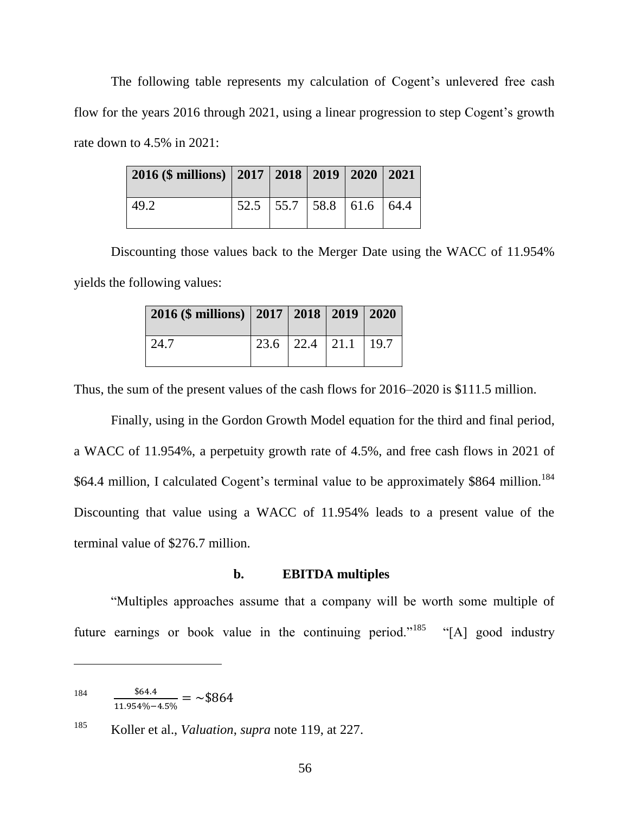The following table represents my calculation of Cogent's unlevered free cash flow for the years 2016 through 2021, using a linear progression to step Cogent's growth rate down to 4.5% in 2021:

| 2016 (\$ millions) $\vert 2017 \vert 2018 \vert 2019 \vert 2020 \vert 2021$ |  |                                    |  |
|-----------------------------------------------------------------------------|--|------------------------------------|--|
| 49.2                                                                        |  | $52.5$   55.7   58.8   61.6   64.4 |  |

Discounting those values back to the Merger Date using the WACC of 11.954% yields the following values:

| 2016 (\$ millions)   2017   2018   2019   2020 |                             |  |
|------------------------------------------------|-----------------------------|--|
| 24.7                                           | $23.6$   22.4   21.1   19.7 |  |

Thus, the sum of the present values of the cash flows for 2016–2020 is \$111.5 million.

Finally, using in the Gordon Growth Model equation for the third and final period, a WACC of 11.954%, a perpetuity growth rate of 4.5%, and free cash flows in 2021 of \$64.4 million, I calculated Cogent's terminal value to be approximately \$864 million.<sup>184</sup> Discounting that value using a WACC of 11.954% leads to a present value of the terminal value of \$276.7 million.

## **b. EBITDA multiples**

―Multiples approaches assume that a company will be worth some multiple of future earnings or book value in the continuing period."<sup>185</sup> "[A] good industry

184 \$  $\frac{$64.4}{$11.954\% - 4.5\%} =$ 

<sup>185</sup> Koller et al., *Valuation*, *supra* note [119,](#page-34-0) at 227.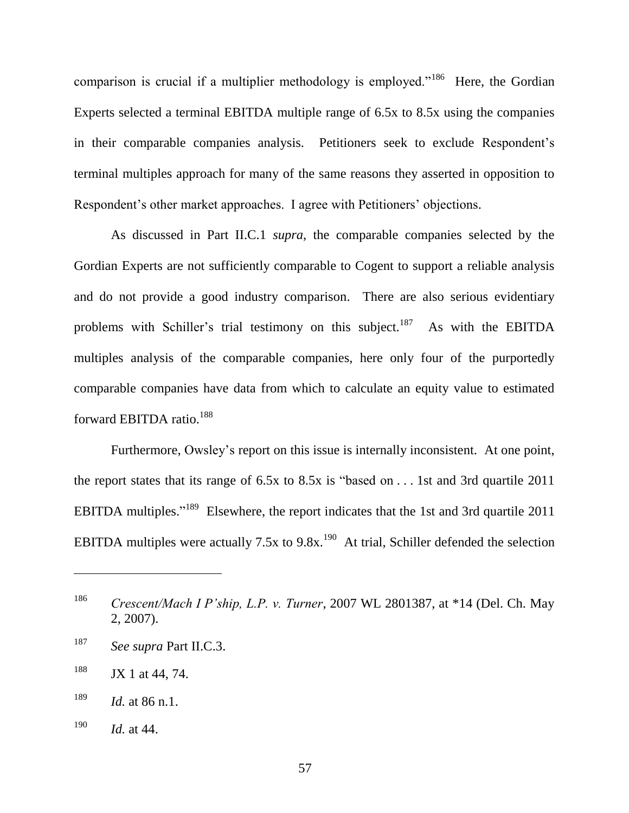comparison is crucial if a multiplier methodology is employed."<sup>186</sup> Here, the Gordian Experts selected a terminal EBITDA multiple range of 6.5x to 8.5x using the companies in their comparable companies analysis. Petitioners seek to exclude Respondent's terminal multiples approach for many of the same reasons they asserted in opposition to Respondent's other market approaches. I agree with Petitioners' objections.

As discussed in Part [II.C.1](#page-14-0) *supra*, the comparable companies selected by the Gordian Experts are not sufficiently comparable to Cogent to support a reliable analysis and do not provide a good industry comparison. There are also serious evidentiary problems with Schiller's trial testimony on this subject.<sup>187</sup> As with the EBITDA multiples analysis of the comparable companies, here only four of the purportedly comparable companies have data from which to calculate an equity value to estimated forward EBITDA ratio.<sup>188</sup>

Furthermore, Owsley's report on this issue is internally inconsistent. At one point, the report states that its range of  $6.5x$  to  $8.5x$  is "based on . . . 1st and 3rd quartile 2011 EBITDA multiples."<sup>189</sup> Elsewhere, the report indicates that the 1st and 3rd quartile 2011 EBITDA multiples were actually 7.5x to 9.8x.<sup>190</sup> At trial, Schiller defended the selection

- <sup>187</sup> *See supra* Part [II.C.3.](#page-21-0)
- $188$  JX 1 at 44, 74.

<sup>186</sup> *Crescent/Mach I P'ship, L.P. v. Turner*, 2007 WL 2801387, at \*14 (Del. Ch. May 2, 2007).

<sup>189</sup> *Id.* at 86 n.1.

<sup>190</sup> *Id.* at 44.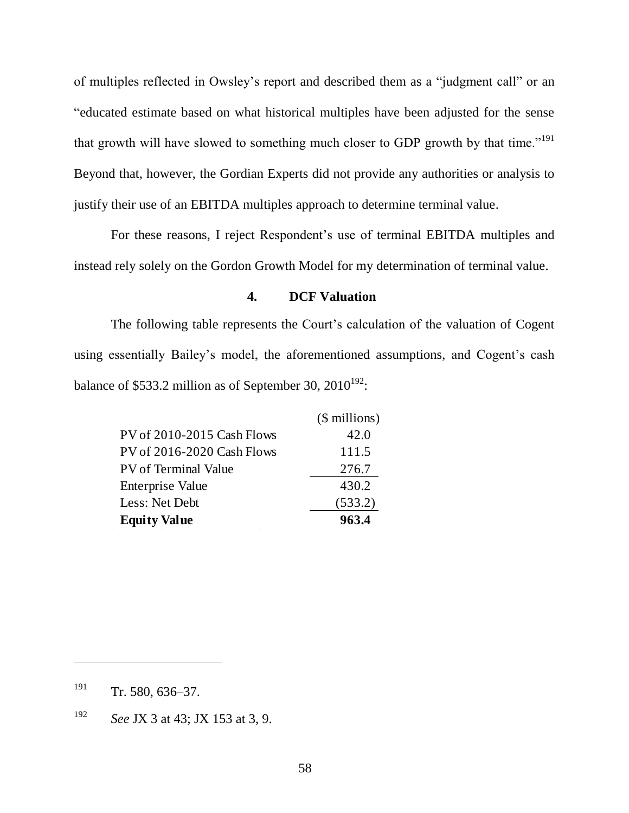of multiples reflected in Owsley's report and described them as a "judgment call" or an ―educated estimate based on what historical multiples have been adjusted for the sense that growth will have slowed to something much closer to GDP growth by that time."<sup>191</sup> Beyond that, however, the Gordian Experts did not provide any authorities or analysis to justify their use of an EBITDA multiples approach to determine terminal value.

For these reasons, I reject Respondent's use of terminal EBITDA multiples and instead rely solely on the Gordon Growth Model for my determination of terminal value.

## **4. DCF Valuation**

The following table represents the Court's calculation of the valuation of Cogent using essentially Bailey's model, the aforementioned assumptions, and Cogent's cash balance of \$533.2 million as of September 30,  $2010^{192}$ :

| <b>Equity Value</b>        | 963.4         |
|----------------------------|---------------|
| Less: Net Debt             | (533.2)       |
| <b>Enterprise Value</b>    | 430.2         |
| PV of Terminal Value       | 276.7         |
| PV of 2016-2020 Cash Flows | 111.5         |
| PV of 2010-2015 Cash Flows | 42.0          |
|                            | (\$ millions) |

 $Tr. 580, 636-37.$ 

<sup>192</sup> *See* JX 3 at 43; JX 153 at 3, 9.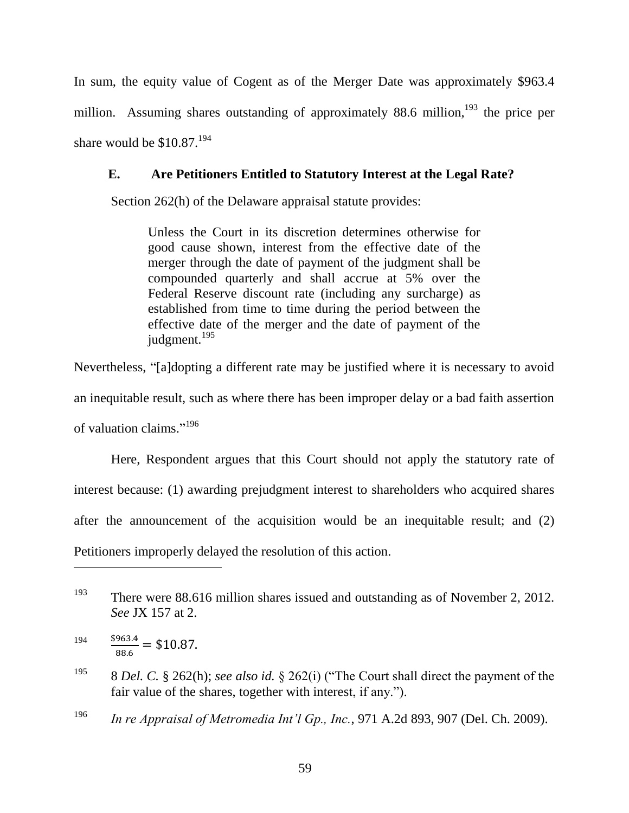In sum, the equity value of Cogent as of the Merger Date was approximately \$963.4 million. Assuming shares outstanding of approximately 88.6 million,<sup>193</sup> the price per share would be  $$10.87$ .<sup>194</sup>

## **E. Are Petitioners Entitled to Statutory Interest at the Legal Rate?**

Section 262(h) of the Delaware appraisal statute provides:

Unless the Court in its discretion determines otherwise for good cause shown, interest from the effective date of the merger through the date of payment of the judgment shall be compounded quarterly and shall accrue at 5% over the Federal Reserve discount rate (including any surcharge) as established from time to time during the period between the effective date of the merger and the date of payment of the judgment.<sup>195</sup>

Nevertheless, "[a]dopting a different rate may be justified where it is necessary to avoid an inequitable result, such as where there has been improper delay or a bad faith assertion of valuation claims."<sup>196</sup>

Here, Respondent argues that this Court should not apply the statutory rate of interest because: (1) awarding prejudgment interest to shareholders who acquired shares after the announcement of the acquisition would be an inequitable result; and (2) Petitioners improperly delayed the resolution of this action. 

<sup>&</sup>lt;sup>193</sup> There were 88.616 million shares issued and outstanding as of November 2, 2012. *See* JX 157 at 2.

<sup>194</sup>  $\frac{903.4}{88.6}$  =

<sup>&</sup>lt;sup>195</sup> 8 *Del. C.* § 262(h); *see also id.* § 262(i) ("The Court shall direct the payment of the fair value of the shares, together with interest, if any.").

<sup>196</sup> *In re Appraisal of Metromedia Int'l Gp., Inc.*, 971 A.2d 893, 907 (Del. Ch. 2009).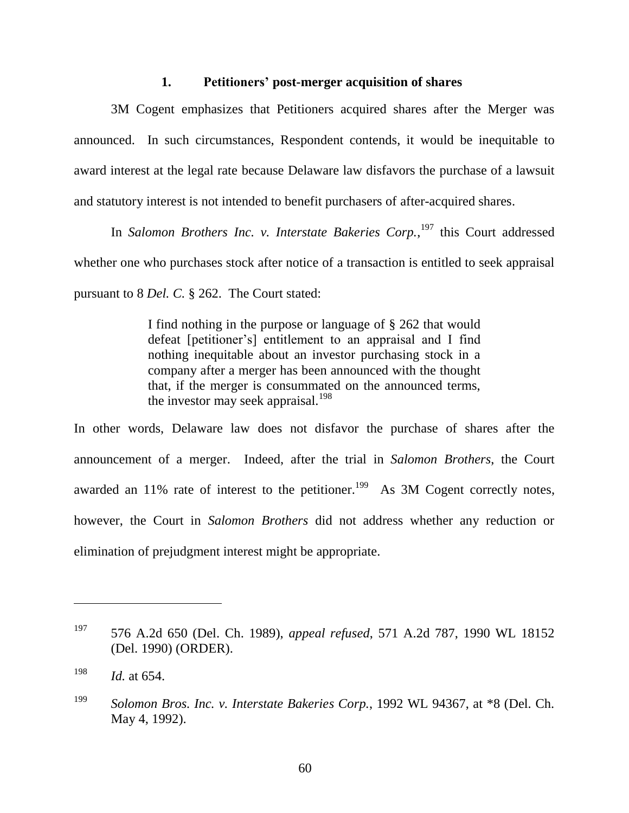### **1. Petitioners' post-merger acquisition of shares**

3M Cogent emphasizes that Petitioners acquired shares after the Merger was announced. In such circumstances, Respondent contends, it would be inequitable to award interest at the legal rate because Delaware law disfavors the purchase of a lawsuit and statutory interest is not intended to benefit purchasers of after-acquired shares.

In *Salomon Brothers Inc. v. Interstate Bakeries Corp.*, <sup>197</sup> this Court addressed whether one who purchases stock after notice of a transaction is entitled to seek appraisal pursuant to 8 *Del. C.* § 262. The Court stated:

> I find nothing in the purpose or language of § 262 that would defeat [petitioner's] entitlement to an appraisal and I find nothing inequitable about an investor purchasing stock in a company after a merger has been announced with the thought that, if the merger is consummated on the announced terms, the investor may seek appraisal.<sup>198</sup>

In other words, Delaware law does not disfavor the purchase of shares after the announcement of a merger. Indeed, after the trial in *Salomon Brothers*, the Court awarded an 11% rate of interest to the petitioner.<sup>199</sup> As 3M Cogent correctly notes, however, the Court in *Salomon Brothers* did not address whether any reduction or elimination of prejudgment interest might be appropriate.

<sup>197</sup> 576 A.2d 650 (Del. Ch. 1989), *appeal refused*, 571 A.2d 787, 1990 WL 18152 (Del. 1990) (ORDER).

<sup>198</sup> *Id.* at 654.

<sup>199</sup> *Solomon Bros. Inc. v. Interstate Bakeries Corp.*, 1992 WL 94367, at \*8 (Del. Ch. May 4, 1992).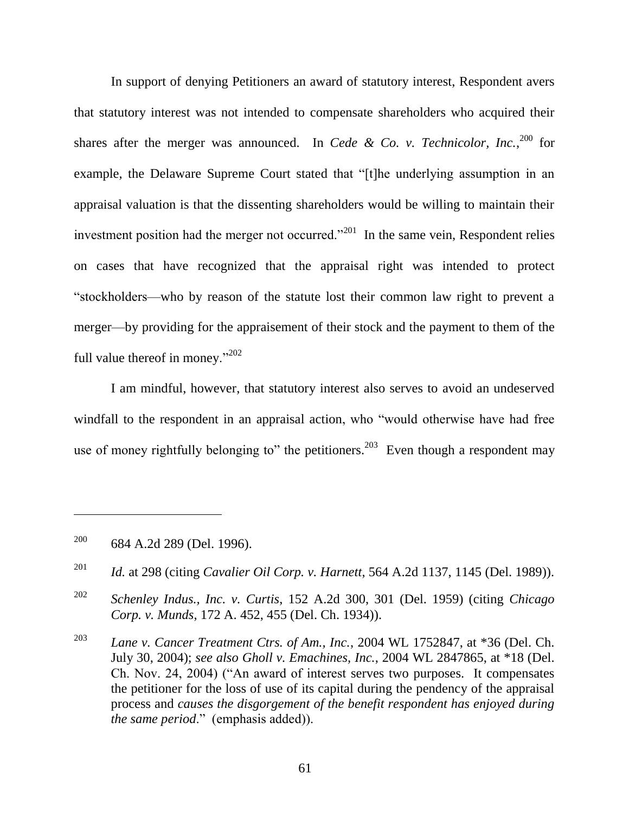In support of denying Petitioners an award of statutory interest, Respondent avers that statutory interest was not intended to compensate shareholders who acquired their shares after the merger was announced. In *Cede & Co. v. Technicolor*, Inc.,<sup>200</sup> for example, the Delaware Supreme Court stated that "[t]he underlying assumption in an appraisal valuation is that the dissenting shareholders would be willing to maintain their investment position had the merger not occurred."<sup>201</sup> In the same vein, Respondent relies on cases that have recognized that the appraisal right was intended to protect ―stockholders—who by reason of the statute lost their common law right to prevent a merger—by providing for the appraisement of their stock and the payment to them of the full value thereof in money." $^{202}$ 

I am mindful, however, that statutory interest also serves to avoid an undeserved windfall to the respondent in an appraisal action, who "would otherwise have had free use of money rightfully belonging to" the petitioners.<sup>203</sup> Even though a respondent may

 $200$  684 A.2d 289 (Del. 1996).

<sup>201</sup> *Id.* at 298 (citing *Cavalier Oil Corp. v. Harnett*, 564 A.2d 1137, 1145 (Del. 1989)).

<sup>202</sup> *Schenley Indus., Inc. v. Curtis*, 152 A.2d 300, 301 (Del. 1959) (citing *Chicago Corp. v. Munds*, 172 A. 452, 455 (Del. Ch. 1934)).

<sup>203</sup> *Lane v. Cancer Treatment Ctrs. of Am., Inc.*, 2004 WL 1752847, at \*36 (Del. Ch. July 30, 2004); *see also Gholl v. Emachines, Inc.*, 2004 WL 2847865, at \*18 (Del. Ch. Nov. 24, 2004) ("An award of interest serves two purposes. It compensates the petitioner for the loss of use of its capital during the pendency of the appraisal process and *causes the disgorgement of the benefit respondent has enjoyed during the same period.*" (emphasis added)).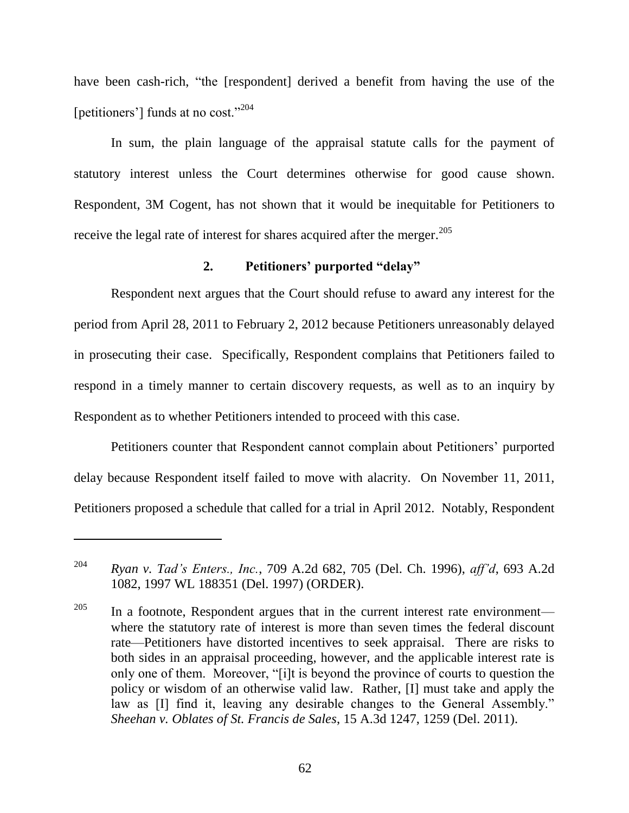have been cash-rich, "the [respondent] derived a benefit from having the use of the [petitioners'] funds at no cost."<sup>204</sup>

In sum, the plain language of the appraisal statute calls for the payment of statutory interest unless the Court determines otherwise for good cause shown. Respondent, 3M Cogent, has not shown that it would be inequitable for Petitioners to receive the legal rate of interest for shares acquired after the merger.<sup>205</sup>

## **2. Petitioners' purported "delay"**

Respondent next argues that the Court should refuse to award any interest for the period from April 28, 2011 to February 2, 2012 because Petitioners unreasonably delayed in prosecuting their case. Specifically, Respondent complains that Petitioners failed to respond in a timely manner to certain discovery requests, as well as to an inquiry by Respondent as to whether Petitioners intended to proceed with this case.

Petitioners counter that Respondent cannot complain about Petitioners' purported delay because Respondent itself failed to move with alacrity. On November 11, 2011, Petitioners proposed a schedule that called for a trial in April 2012. Notably, Respondent

<sup>204</sup> *Ryan v. Tad's Enters., Inc.*, 709 A.2d 682, 705 (Del. Ch. 1996), *aff'd*, 693 A.2d 1082, 1997 WL 188351 (Del. 1997) (ORDER).

<sup>&</sup>lt;sup>205</sup> In a footnote, Respondent argues that in the current interest rate environment where the statutory rate of interest is more than seven times the federal discount rate—Petitioners have distorted incentives to seek appraisal. There are risks to both sides in an appraisal proceeding, however, and the applicable interest rate is only one of them. Moreover, "[i]t is beyond the province of courts to question the policy or wisdom of an otherwise valid law. Rather, [I] must take and apply the law as [I] find it, leaving any desirable changes to the General Assembly." *Sheehan v. Oblates of St. Francis de Sales*, 15 A.3d 1247, 1259 (Del. 2011).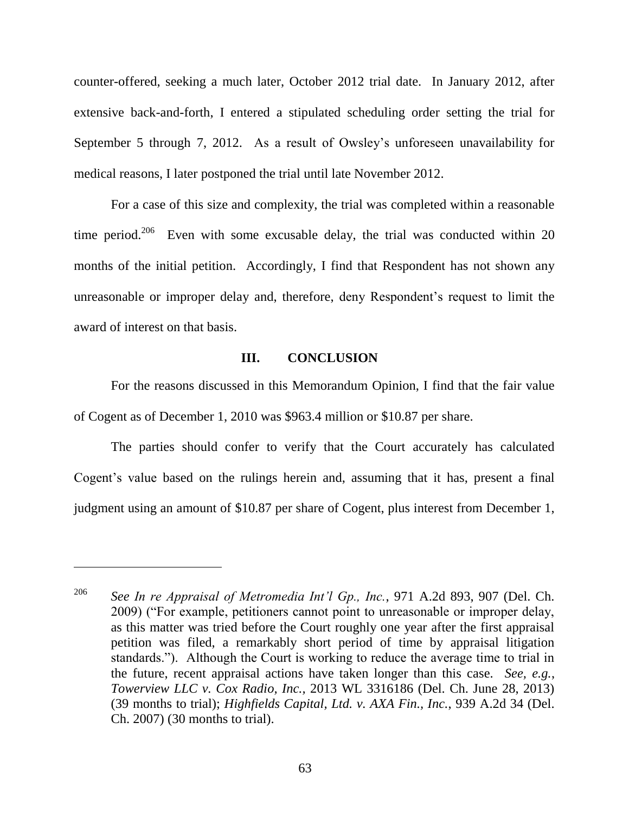counter-offered, seeking a much later, October 2012 trial date. In January 2012, after extensive back-and-forth, I entered a stipulated scheduling order setting the trial for September 5 through 7, 2012. As a result of Owsley's unforeseen unavailability for medical reasons, I later postponed the trial until late November 2012.

For a case of this size and complexity, the trial was completed within a reasonable time period.<sup>206</sup> Even with some excusable delay, the trial was conducted within 20 months of the initial petition. Accordingly, I find that Respondent has not shown any unreasonable or improper delay and, therefore, deny Respondent's request to limit the award of interest on that basis.

### **III. CONCLUSION**

For the reasons discussed in this Memorandum Opinion, I find that the fair value of Cogent as of December 1, 2010 was \$963.4 million or \$10.87 per share.

The parties should confer to verify that the Court accurately has calculated Cogent's value based on the rulings herein and, assuming that it has, present a final judgment using an amount of \$10.87 per share of Cogent, plus interest from December 1,

<sup>206</sup> *See In re Appraisal of Metromedia Int'l Gp., Inc.*, 971 A.2d 893, 907 (Del. Ch. 2009) ("For example, petitioners cannot point to unreasonable or improper delay, as this matter was tried before the Court roughly one year after the first appraisal petition was filed, a remarkably short period of time by appraisal litigation standards."). Although the Court is working to reduce the average time to trial in the future, recent appraisal actions have taken longer than this case. *See, e.g.*, *Towerview LLC v. Cox Radio, Inc.,* 2013 WL 3316186 (Del. Ch. June 28, 2013) (39 months to trial); *Highfields Capital, Ltd. v. AXA Fin., Inc.*, 939 A.2d 34 (Del. Ch. 2007) (30 months to trial).